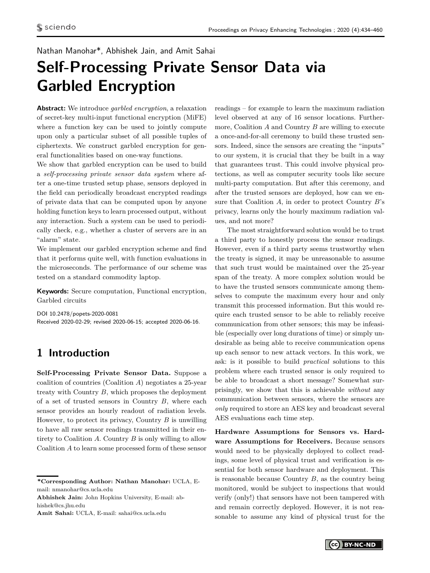### <span id="page-0-0"></span>Nathan Manohar\*, Abhishek Jain, and Amit Sahai

# **Self-Processing Private Sensor Data via Garbled Encryption**

**Abstract:** We introduce *garbled encryption*, a relaxation of secret-key multi-input functional encryption (MiFE) where a function key can be used to jointly compute upon only a particular subset of all possible tuples of ciphertexts. We construct garbled encryption for general functionalities based on one-way functions.

We show that garbled encryption can be used to build a *self-processing private sensor data system* where after a one-time trusted setup phase, sensors deployed in the field can periodically broadcast encrypted readings of private data that can be computed upon by anyone holding function keys to learn processed output, without any interaction. Such a system can be used to periodically check, e.g., whether a cluster of servers are in an "alarm" state.

We implement our garbled encryption scheme and find that it performs quite well, with function evaluations in the microseconds. The performance of our scheme was tested on a standard commodity laptop.

**Keywords:** Secure computation, Functional encryption, Garbled circuits

DOI 10.2478/popets-2020-0081 Received 2020-02-29; revised 2020-06-15; accepted 2020-06-16.

### **1 Introduction**

**Self-Processing Private Sensor Data.** Suppose a coalition of countries (Coalition *A*) negotiates a 25-year treaty with Country *B*, which proposes the deployment of a set of trusted sensors in Country *B*, where each sensor provides an hourly readout of radiation levels. However, to protect its privacy, Country *B* is unwilling to have all raw sensor readings transmitted in their entirety to Coalition *A*. Country *B* is only willing to allow Coalition *A* to learn some processed form of these sensor

**\*Corresponding Author: Nathan Manohar:** UCLA, Email: nmanohar@cs.ucla.edu

**Abhishek Jain:** John Hopkins University, E-mail: abhishek@cs.jhu.edu

**Amit Sahai:** UCLA, E-mail: sahai@cs.ucla.edu

readings – for example to learn the maximum radiation level observed at any of 16 sensor locations. Furthermore, Coalition *A* and Country *B* are willing to execute a once-and-for-all ceremony to build these trusted sensors. Indeed, since the sensors are creating the "inputs" to our system, it is crucial that they be built in a way that guarantees trust. This could involve physical protections, as well as computer security tools like secure multi-party computation. But after this ceremony, and after the trusted sensors are deployed, how can we ensure that Coalition *A*, in order to protect Country *B*'s privacy, learns only the hourly maximum radiation values, and not more?

The most straightforward solution would be to trust a third party to honestly process the sensor readings. However, even if a third party seems trustworthy when the treaty is signed, it may be unreasonable to assume that such trust would be maintained over the 25-year span of the treaty. A more complex solution would be to have the trusted sensors communicate among themselves to compute the maximum every hour and only transmit this processed information. But this would require each trusted sensor to be able to reliably receive communication from other sensors; this may be infeasible (especially over long durations of time) or simply undesirable as being able to receive communication opens up each sensor to new attack vectors. In this work, we ask: is it possible to build *practical* solutions to this problem where each trusted sensor is only required to be able to broadcast a short message? Somewhat surprisingly, we show that this is achievable *without* any communication between sensors, where the sensors are *only* required to store an AES key and broadcast several AES evaluations each time step.

**Hardware Assumptions for Sensors vs. Hardware Assumptions for Receivers.** Because sensors would need to be physically deployed to collect readings, some level of physical trust and verification is essential for both sensor hardware and deployment. This is reasonable because Country *B*, as the country being monitored, would be subject to inspections that would verify (only!) that sensors have not been tampered with and remain correctly deployed. However, it is not reasonable to assume any kind of physical trust for the

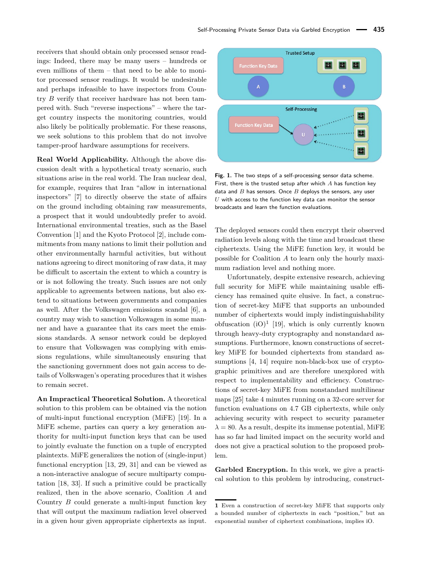receivers that should obtain only processed sensor readings: Indeed, there may be many users – hundreds or even millions of them – that need to be able to monitor processed sensor readings. It would be undesirable and perhaps infeasible to have inspectors from Country *B* verify that receiver hardware has not been tampered with. Such "reverse inspections" – where the target country inspects the monitoring countries, would also likely be politically problematic. For these reasons, we seek solutions to this problem that do not involve tamper-proof hardware assumptions for receivers.

**Real World Applicability.** Although the above discussion dealt with a hypothetical treaty scenario, such situations arise in the real world. The Iran nuclear deal, for example, requires that Iran "allow in international inspectors" [\[7\]](#page-16-0) to directly observe the state of affairs on the ground including obtaining raw measurements, a prospect that it would undoubtedly prefer to avoid. International environmental treaties, such as the Basel Convention [\[1\]](#page-16-1) and the Kyoto Protocol [\[2\]](#page-16-2), include commitments from many nations to limit their pollution and other environmentally harmful activities, but without nations agreeing to direct monitoring of raw data, it may be difficult to ascertain the extent to which a country is or is not following the treaty. Such issues are not only applicable to agreements between nations, but also extend to situations between governments and companies as well. After the Volkswagen emissions scandal [\[6\]](#page-16-3), a country may wish to sanction Volkswagen in some manner and have a guarantee that its cars meet the emissions standards. A sensor network could be deployed to ensure that Volkswagen was complying with emissions regulations, while simultaneously ensuring that the sanctioning government does not gain access to details of Volkswagen's operating procedures that it wishes to remain secret.

**An Impractical Theoretical Solution.** A theoretical solution to this problem can be obtained via the notion of multi-input functional encryption (MiFE) [\[19\]](#page-16-4). In a MiFE scheme, parties can query a key generation authority for multi-input function keys that can be used to jointly evaluate the function on a tuple of encrypted plaintexts. MiFE generalizes the notion of (single-input) functional encryption [\[13,](#page-16-5) [29,](#page-17-0) [31\]](#page-17-1) and can be viewed as a non-interactive analogue of secure multiparty computation [\[18,](#page-16-6) [33\]](#page-17-2). If such a primitive could be practically realized, then in the above scenario, Coalition *A* and Country *B* could generate a multi-input function key that will output the maximum radiation level observed in a given hour given appropriate ciphertexts as input.



**Fig. 1.** The two steps of a self-processing sensor data scheme. First, there is the trusted setup after which *A* has function key data and *B* has sensors. Once *B* deploys the sensors, any user *U* with access to the function key data can monitor the sensor broadcasts and learn the function evaluations.

The deployed sensors could then encrypt their observed radiation levels along with the time and broadcast these ciphertexts. Using the MiFE function key, it would be possible for Coalition *A* to learn only the hourly maximum radiation level and nothing more.

Unfortunately, despite extensive research, achieving full security for MiFE while maintaining usable efficiency has remained quite elusive. In fact, a construction of secret-key MiFE that supports an unbounded number of ciphertexts would imply indistinguishability obfuscation  $(iO)^1$  $(iO)^1$  [\[19\]](#page-16-4), which is only currently known through heavy-duty cryptography and nonstandard assumptions. Furthermore, known constructions of secretkey MiFE for bounded ciphertexts from standard assumptions [\[4,](#page-16-7) [14\]](#page-16-8) require non-black-box use of cryptographic primitives and are therefore unexplored with respect to implementability and efficiency. Constructions of secret-key MiFE from nonstandard multilinear maps [\[25\]](#page-17-3) take 4 minutes running on a 32-core server for function evaluations on 4*.*7 GB ciphertexts, while only achieving security with respect to security parameter  $\lambda = 80$ . As a result, despite its immense potential, MiFE has so far had limited impact on the security world and does not give a practical solution to the proposed problem.

**Garbled Encryption.** In this work, we give a practical solution to this problem by introducing, construct-

**<sup>1</sup>** Even a construction of secret-key MiFE that supports only a bounded number of ciphertexts in each "position," but an exponential number of ciphertext combinations, implies iO.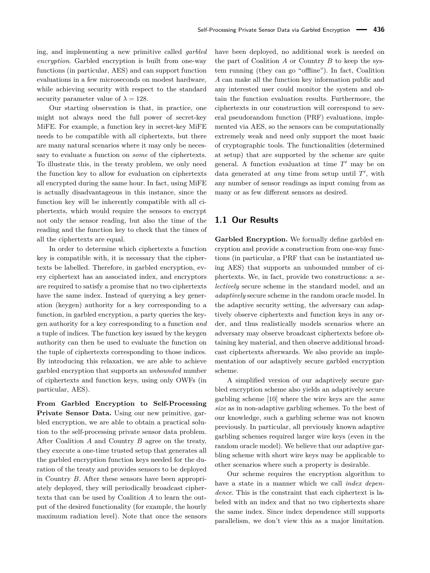ing, and implementing a new primitive called *garbled encryption*. Garbled encryption is built from one-way functions (in particular, AES) and can support function evaluations in a few microseconds on modest hardware, while achieving security with respect to the standard security parameter value of  $\lambda = 128$ .

Our starting observation is that, in practice, one might not always need the full power of secret-key MiFE. For example, a function key in secret-key MiFE needs to be compatible with all ciphertexts, but there are many natural scenarios where it may only be necessary to evaluate a function on *some* of the ciphertexts. To illustrate this, in the treaty problem, we only need the function key to allow for evaluation on ciphertexts all encrypted during the same hour. In fact, using MiFE is actually disadvantageous in this instance, since the function key will be inherently compatible with all ciphertexts, which would require the sensors to encrypt not only the sensor reading, but also the time of the reading and the function key to check that the times of all the ciphertexts are equal.

In order to determine which ciphertexts a function key is compatible with, it is necessary that the ciphertexts be labelled. Therefore, in garbled encryption, every ciphertext has an associated index, and encryptors are required to satisfy a promise that no two ciphertexts have the same index. Instead of querying a key generation (keygen) authority for a key corresponding to a function, in garbled encryption, a party queries the keygen authority for a key corresponding to a function *and* a tuple of indices. The function key issued by the keygen authority can then be used to evaluate the function on the tuple of ciphertexts corresponding to those indices. By introducing this relaxation, we are able to achieve garbled encryption that supports an *unbounded* number of ciphertexts and function keys, using only OWFs (in particular, AES).

**From Garbled Encryption to Self-Processing Private Sensor Data.** Using our new primitive, garbled encryption, we are able to obtain a practical solution to the self-processing private sensor data problem. After Coalition *A* and Country *B* agree on the treaty, they execute a one-time trusted setup that generates all the garbled encryption function keys needed for the duration of the treaty and provides sensors to be deployed in Country *B*. After these sensors have been appropriately deployed, they will periodically broadcast ciphertexts that can be used by Coalition *A* to learn the output of the desired functionality (for example, the hourly maximum radiation level). Note that once the sensors have been deployed, no additional work is needed on the part of Coalition *A* or Country *B* to keep the system running (they can go "offline"). In fact, Coalition *A* can make all the function key information public and any interested user could monitor the system and obtain the function evaluation results. Furthermore, the ciphertexts in our construction will correspond to several pseudorandom function (PRF) evaluations, implemented via AES, so the sensors can be computationally extremely weak and need only support the most basic of cryptographic tools. The functionalities (determined at setup) that are supported by the scheme are quite general. A function evaluation at time  $T'$  may be on data generated at *any* time from setup until  $T'$ , with any number of sensor readings as input coming from as many or as few different sensors as desired.

### **1.1 Our Results**

**Garbled Encryption.** We formally define garbled encryption and provide a construction from one-way functions (in particular, a PRF that can be instantiated using AES) that supports an unbounded number of ciphertexts. We, in fact, provide two constructions: a *selectively* secure scheme in the standard model, and an *adaptively* secure scheme in the random oracle model. In the adaptive security setting, the adversary can adaptively observe ciphertexts and function keys in any order, and thus realistically models scenarios where an adversary may observe broadcast ciphertexts before obtaining key material, and then observe additional broadcast ciphertexts afterwards. We also provide an implementation of our adaptively secure garbled encryption scheme.

A simplified version of our adaptively secure garbled encryption scheme also yields an adaptively secure garbling scheme [\[10\]](#page-16-9) where the wire keys are the *same size* as in non-adaptive garbling schemes. To the best of our knowledge, such a garbling scheme was not known previously. In particular, all previously known adaptive garbling schemes required larger wire keys (even in the random oracle model). We believe that our adaptive garbling scheme with short wire keys may be applicable to other scenarios where such a property is desirable.

Our scheme requires the encryption algorithm to have a state in a manner which we call *index dependence*. This is the constraint that each ciphertext is labeled with an index and that no two ciphertexts share the same index. Since index dependence still supports parallelism, we don't view this as a major limitation.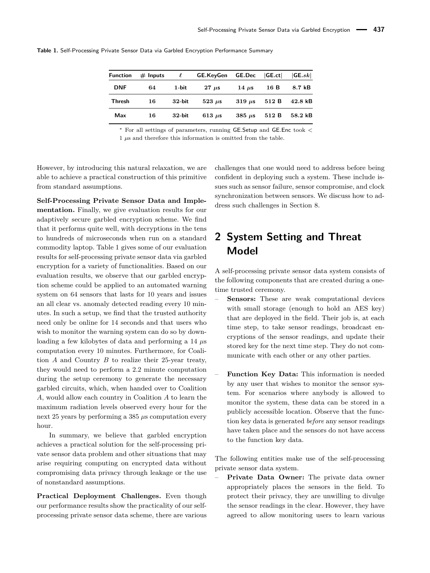<span id="page-3-0"></span>**Table 1.** Self-Processing Private Sensor Data via Garbled Encryption Performance Summary

| <b>Function</b> | $#$ Inputs | $\ell$    | <b>GE.KeyGen GE.Dec</b> |                           | GE.ct | GE.sk             |
|-----------------|------------|-----------|-------------------------|---------------------------|-------|-------------------|
| <b>DNF</b>      | 64         | 1-bit     | $27 \mu s$              | 14 $\mu$ s                | 16 B  | 8.7 kB            |
| Thresh          | 16         | $32$ -bit | $523 \mu s$             | $319 \mu s$               | 512 B | $42.8 \text{ kB}$ |
| Max             | 16         | $32$ -bit | 613 $\mu$ s             | $385 \text{ }\mu\text{s}$ | 512 B | $58.2 \text{ kB}$ |

<sup>∗</sup> For all settings of parameters, running GE*.*Setup and GE*.*Enc took *<*

 $1 \mu s$  and therefore this information is omitted from the table.

However, by introducing this natural relaxation, we are able to achieve a practical construction of this primitive from standard assumptions.

**Self-Processing Private Sensor Data and Implementation.** Finally, we give evaluation results for our adaptively secure garbled encryption scheme. We find that it performs quite well, with decryptions in the tens to hundreds of microseconds when run on a standard commodity laptop. Table [1](#page-3-0) gives some of our evaluation results for self-processing private sensor data via garbled encryption for a variety of functionalities. Based on our evaluation results, we observe that our garbled encryption scheme could be applied to an automated warning system on 64 sensors that lasts for 10 years and issues an all clear vs. anomaly detected reading every 10 minutes. In such a setup, we find that the trusted authority need only be online for 14 seconds and that users who wish to monitor the warning system can do so by downloading a few kilobytes of data and performing a 14 *µ*s computation every 10 minutes. Furthermore, for Coalition *A* and Country *B* to realize their 25-year treaty, they would need to perform a 2*.*2 minute computation during the setup ceremony to generate the necessary garbled circuits, which, when handed over to Coalition *A*, would allow each country in Coalition *A* to learn the maximum radiation levels observed every hour for the next 25 years by performing a 385 *µ*s computation every hour.

In summary, we believe that garbled encryption achieves a practical solution for the self-processing private sensor data problem and other situations that may arise requiring computing on encrypted data without compromising data privacy through leakage or the use of nonstandard assumptions.

**Practical Deployment Challenges.** Even though our performance results show the practicality of our selfprocessing private sensor data scheme, there are various

challenges that one would need to address before being confident in deploying such a system. These include issues such as sensor failure, sensor compromise, and clock synchronization between sensors. We discuss how to address such challenges in Section [8.](#page-14-0)

# **2 System Setting and Threat Model**

A self-processing private sensor data system consists of the following components that are created during a onetime trusted ceremony.

- **Sensors:** These are weak computational devices with small storage (enough to hold an AES key) that are deployed in the field. Their job is, at each time step, to take sensor readings, broadcast encryptions of the sensor readings, and update their stored key for the next time step. They do not communicate with each other or any other parties.
- **Function Key Data:** This information is needed by any user that wishes to monitor the sensor system. For scenarios where anybody is allowed to monitor the system, these data can be stored in a publicly accessible location. Observe that the function key data is generated *before* any sensor readings have taken place and the sensors do not have access to the function key data.

The following entities make use of the self-processing private sensor data system.

– **Private Data Owner:** The private data owner appropriately places the sensors in the field. To protect their privacy, they are unwilling to divulge the sensor readings in the clear. However, they have agreed to allow monitoring users to learn various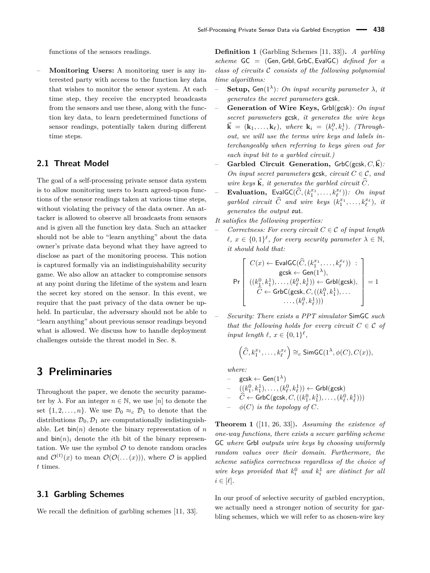functions of the sensors readings.

– **Monitoring Users:** A monitoring user is any interested party with access to the function key data that wishes to monitor the sensor system. At each time step, they receive the encrypted broadcasts from the sensors and use these, along with the function key data, to learn predetermined functions of sensor readings, potentially taken during different time steps.

### **2.1 Threat Model**

The goal of a self-processing private sensor data system is to allow monitoring users to learn agreed-upon functions of the sensor readings taken at various time steps, without violating the privacy of the data owner. An attacker is allowed to observe all broadcasts from sensors and is given all the function key data. Such an attacker should not be able to "learn anything" about the data owner's private data beyond what they have agreed to disclose as part of the monitoring process. This notion is captured formally via an indistinguishability security game. We also allow an attacker to compromise sensors at any point during the lifetime of the system and learn the secret key stored on the sensor. In this event, we require that the past privacy of the data owner be upheld. In particular, the adversary should not be able to "learn anything" about previous sensor readings beyond what is allowed. We discuss how to handle deployment challenges outside the threat model in Sec. [8.](#page-14-0)

### **3 Preliminaries**

Throughout the paper, we denote the security parameter by  $\lambda$ . For an integer  $n \in \mathbb{N}$ , we use [*n*] to denote the set  $\{1, 2, \ldots, n\}$ . We use  $\mathcal{D}_0 \approx_c \mathcal{D}_1$  to denote that the distributions  $\mathcal{D}_0$ ,  $\mathcal{D}_1$  are computationally indistinguishable. Let  $\text{bin}(n)$  denote the binary representation of *n* and  $\sin(n)$ <sup>*i*</sup> denote the *i*th bit of the binary representation. We use the symbol  $\mathcal O$  to denote random oracles and  $\mathcal{O}^{(t)}(x)$  to mean  $\mathcal{O}(\mathcal{O}(\ldots(x)))$ , where  $\mathcal O$  is applied *t* times.

### **3.1 Garbling Schemes**

We recall the definition of garbling schemes [\[11,](#page-16-10) [33\]](#page-17-2).

**Definition 1** (Garbling Schemes [\[11,](#page-16-10) [33\]](#page-17-2))**.** *A garbling scheme* GC = (Gen*,* GrbI*,* GrbC*,* EvalGC) *defined for a class of circuits* C *consists of the following polynomial time algorithms:*

- **Setup,** Gen( $1^{\lambda}$ )*: On input security parameter*  $\lambda$ *, it generates the secret parameters* gcsk*.*
- **Generation of Wire Keys,** GrbI(gcsk)*: On input secret parameters* gcsk*, it generates the wire keys*  $\vec{k} = (\mathbf{k}_1, ..., \mathbf{k}_\ell)$ , where  $\mathbf{k}_i = (k_i^0, k_i^1)$ . (Through*out, we will use the terms wire keys and labels interchangeably when referring to keys given out for each input bit to a garbled circuit.)*
- **Garbled Circuit Generation,** GrbC(gcsk*, C, ~***k**)*: On input secret parameters* gcsk, *circuit*  $C \in \mathcal{C}$ , and *wire keys*  $\vec{k}$ *, it generates the garbled circuit*  $\hat{C}$ *.*
- $-$ **Evaluation,** EvalGC $(\widehat{C}, (k_1^{x_1}, \ldots, k_\ell^{x_\ell}))$ *: On input* garbled circuit  $\widehat{C}$  and wire keys  $(k_1^{x_1}, \ldots, k_\ell^{x_\ell})$ , it *generates the output* out*.*
- *It satisfies the following properties:*
- *Correctness: For every circuit*  $C \in \mathcal{C}$  *of input length*  $\ell, x \in \{0,1\}^{\ell}$ , for every security parameter  $\lambda \in \mathbb{N}$ , *it should hold that:*

$$
\Pr\left[\begin{array}{c} C(x) \leftarrow \textsf{EvalGC}(\widehat{C},(k_1^{x_1},\ldots,k_\ell^{x_\ell}))\;:\;\\ \textsf{gcsk} \leftarrow \textsf{Gen}(1^\lambda),\\ ((k_1^0,k_1^1),\ldots,(k_\ell^0,k_\ell^1)) \leftarrow \textsf{Grbl}(\textsf{gcsk}),\\ \widehat{C} \leftarrow \textsf{GrbC}(\textsf{gcsk},C,((k_1^0,k_1^1),\ldots\\ \ldots,(k_\ell^0,k_\ell^1)))\end{array}\right] = 1
$$

– *Security: There exists a PPT simulator* SimGC *such that the following holds for every circuit*  $C \in \mathcal{C}$  *of input length*  $\ell, x \in \{0,1\}^{\ell}$ ,

$$
\left(\widehat{C}, k_1^{x_1}, \ldots, k_\ell^{x_\ell}\right) \cong_c \text{SimGC}(1^{\lambda}, \phi(C), C(x)),
$$

*where:*

- $\mathsf{gcsk} \leftarrow \mathsf{Gen}(1^{\lambda})$
- $\qquad \quad \quad \left( (k_1^0, k_1^1), \ldots, (k_\ell^0, k_\ell^1) \right) \leftarrow \mathsf{Grbl}(\mathsf{gcsk})$
- $\widehat{C} \leftarrow \mathsf{GrbC}(\mathsf{gcsk},C,((k_1^0,k_1^1),\ldots,(k_\ell^0,k_\ell^1)))$
- $\phi(C)$  *is the topology of*  $C$ *.*

<span id="page-4-0"></span>**Theorem 1** ([\[11,](#page-16-10) [26,](#page-17-4) [33\]](#page-17-2))**.** *Assuming the existence of one-way functions, there exists a secure garbling scheme* GC *where* GrbI *outputs wire keys by choosing uniformly random values over their domain. Furthermore, the scheme satisfies correctness regardless of the choice of wire keys provided that*  $k_i^0$  *and*  $k_i^1$  *are distinct for all*  $i \in [\ell]$ .

In our proof of selective security of garbled encryption, we actually need a stronger notion of security for garbling schemes, which we will refer to as chosen-wire key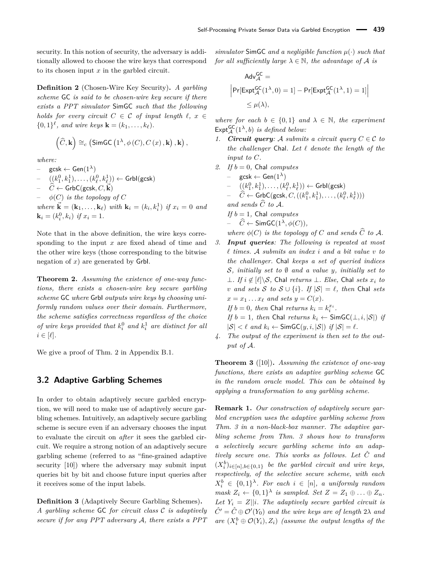security. In this notion of security, the adversary is additionally allowed to choose the wire keys that correspond to its chosen input *x* in the garbled circuit.

<span id="page-5-4"></span>**Definition 2** (Chosen-Wire Key Security)**.** *A garbling scheme* GC *is said to be chosen-wire key secure if there exists a PPT simulator* SimGC *such that the following holds for every circuit*  $C \in \mathcal{C}$  *of input length*  $\ell, x \in$  $\{0,1\}^{\ell}$ *, and wire keys*  $\mathbf{k} = (k_1, \ldots, k_{\ell}).$ 

$$
\left(\widehat{C},\mathbf{k}\right)\cong_c \left(\mathsf{SimGC}\left(1^{\lambda},\phi\left(C\right),C\left(x\right),\mathbf{k}\right),\mathbf{k}\right),\,
$$

*where:*

 $\textsf{gcsk} \leftarrow \textsf{Gen}(1^{\lambda})$ 

 $((k_1^0,k_1^1), \ldots, (k_\ell^0,k_\ell^1)) \leftarrow \mathsf{Grbl}(\mathsf{gcsk})$ 

 $\widehat{C} \leftarrow$  GrbC(gcsk,  $C, \vec{k}$ )

 $\phi(C)$  *is the topology of*  $C$ 

*where*  $\vec{\bf{k}} = ({\bf{k}}_1, ..., {\bf{k}}_\ell)$  *with*  ${\bf k}_i = (k_i, k_i^1)$  *if*  $x_i = 0$  *and*  $\mathbf{k}_i = (k_i^0, k_i)$  *if*  $x_i = 1$ *.* 

Note that in the above definition, the wire keys corresponding to the input *x* are fixed ahead of time and the other wire keys (those corresponding to the bitwise negation of *x*) are generated by GrbI.

<span id="page-5-0"></span>**Theorem 2.** *Assuming the existence of one-way functions, there exists a chosen-wire key secure garbling scheme* GC *where* GrbI *outputs wire keys by choosing uniformly random values over their domain. Furthermore, the scheme satisfies correctness regardless of the choice of wire keys provided that*  $k_i^0$  *and*  $k_i^1$  *are distinct for all*  $i \in [\ell]$ .

We give a proof of Thm. [2](#page-5-0) in Appendix [B.1.](#page-18-0)

### <span id="page-5-3"></span>**3.2 Adaptive Garbling Schemes**

In order to obtain adaptively secure garbled encryption, we will need to make use of adaptively secure garbling schemes. Intuitively, an adaptively secure garbling scheme is secure even if an adversary chooses the input to evaluate the circuit on *after* it sees the garbled circuit. We require a strong notion of an adaptively secure garbling scheme (referred to as "fine-grained adaptive security [\[10\]](#page-16-9)) where the adversary may submit input queries bit by bit and choose future input queries after it receives some of the input labels.

<span id="page-5-5"></span>**Definition 3** (Adaptively Secure Garbling Schemes)**.** *A garbling scheme* GC *for circuit class* C *is adaptively secure if for any PPT adversary* A*, there exists a PPT* *simulator* SimGC *and a negligible function µ*(·) *such that for all sufficiently large*  $\lambda \in \mathbb{N}$ *, the advantage of* A *is* 

$$
\begin{aligned} \mathsf{Adv}^{\mathsf{GC}}_{\mathcal{A}} & = \\ \Big| \mathsf{Pr}[\mathsf{Expt}^{\mathsf{GC}}_{\mathcal{A}}(1^{\lambda},0) = 1] - \mathsf{Pr}[\mathsf{Expt}^{\mathsf{GC}}_{\mathcal{A}}(1^{\lambda},1) = 1] \Big| \\ & \leq \mu(\lambda), \end{aligned}
$$

*where for each*  $b \in \{0,1\}$  *and*  $\lambda \in \mathbb{N}$ *, the experiment*  $\mathsf{Expt}_{\mathcal{A}}^{\mathsf{GC}}(1^{\lambda},b)$  *is defined below:* 

- *1. Circuit query:* A *submits a circuit query*  $C \in \mathcal{C}$  *to the challenger* Chal. Let  $\ell$  *denote the length of the input to C.*
- 2. *If*  $b = 0$ , Chal *computes* – gcsk ← Gen(1*λ*)  $\hspace{1cm} - \quad ((k_1^0,k_1^1), \ldots, (k_\ell^0,k_\ell^1)) \leftarrow \mathsf{Grbl}(\mathsf{gcsk})$  $C \leftarrow \mathsf{GrbC}(\mathsf{gcsk}, C, ((k_1^0, k_1^1), \ldots, (k_\ell^0, k_\ell^1)))$ and sends  $\widehat{C}$  to  $\mathcal{A}$ *. If b* = 1*,* Chal *computes* – *<sup>C</sup>*<sup>b</sup> <sup>←</sup> SimGC(1*λ, φ*(*C*))*, where*  $\phi(C)$  *is the topology of C and sends*  $\widehat{C}$  *to*  $\mathcal{A}$ *. 3. Input queries: The following is repeated at most*
- *` times.* A *submits an index i and a bit value v to the challenger.* Chal *keeps a set of queried indices* S*, initially set to* ∅ *and a value y, initially set to* ⊥*. If*  $i \notin \{ \ell \} \setminus S$ , Chal *returns* ⊥*. Else*, Chal *sets*  $x_i$  *to v* and sets *S* to *S* ∪ {*i*}*. If*  $|S| = \ell$ *, then* Chal *sets*  $x = x_1 \ldots x_\ell$  *and sets*  $y = C(x)$ *. If*  $b = 0$ *, then* Chal *returns*  $k_i = k_i^{x_i}$ .

*If*  $b = 1$ *, then* Chal *returns*  $k_i \leftarrow \text{SimGC}(\perp, i, |\mathcal{S}|)$  *if*  $|S| < \ell$  and  $k_i \leftarrow$  SimGC(*y, i,*  $|S|$ ) *if*  $|S| = \ell$ .

*4. The output of the experiment is then set to the output of* A*.*

<span id="page-5-1"></span>**Theorem 3** ([\[10\]](#page-16-9))**.** *Assuming the existence of one-way functions, there exists an adaptive garbling scheme* GC *in the random oracle model. This can be obtained by applying a transformation to any garbling scheme.*

<span id="page-5-2"></span>**Remark 1.** *Our construction of adaptively secure garbled encryption uses the adaptive garbling scheme from Thm. [3](#page-5-1) in a non-black-box manner. The adaptive garbling scheme from Thm. [3](#page-5-1) shows how to transform a selectively secure garbling scheme into an adaptively secure one. This works as follows. Let C*ˆ *and*  $(X_i^b)_{i \in [n], b \in \{0,1\}}$  *be the garbled circuit and wire keys, respectively, of the selective secure scheme, with each*  $X_i^b \in \{0,1\}^{\lambda}$ *. For each*  $i \in [n]$ *, a uniformly random mask*  $Z_i \leftarrow \{0,1\}^{\lambda}$  *is sampled. Set*  $Z = Z_1 \oplus \ldots \oplus Z_n$ *.* Let  $Y_i = Z||i$ *. The adaptively secure garbled circuit is*  $\hat{C'} = \hat{C} \oplus \mathcal{O'}(Y_0)$  and the wire keys are of length  $2\lambda$  and *are*  $(X_i^b \oplus \mathcal{O}(Y_i), Z_i)$  *(assume the output lengths of the*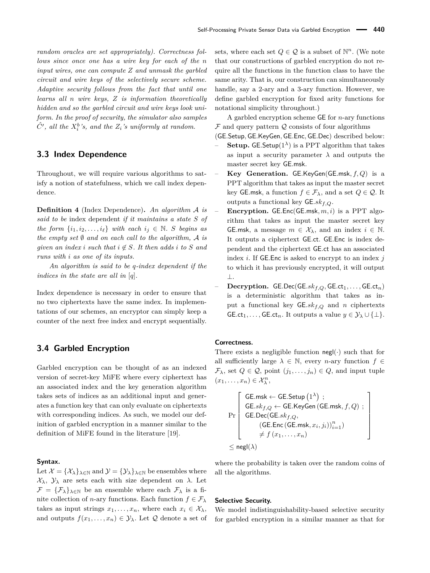*random oracles are set appropriately). Correctness follows since once one has a wire key for each of the n input wires, one can compute Z and unmask the garbled circuit and wire keys of the selectively secure scheme. Adaptive security follows from the fact that until one learns all n wire keys, Z is information theoretically hidden and so the garbled circuit and wire keys look uniform. In the proof of security, the simulator also samples*  $\hat{C}'$ , all the  $X_i^b$ 's, and the  $Z_i$ 's uniformly at random.

### **3.3 Index Dependence**

Throughout, we will require various algorithms to satisfy a notion of statefulness, which we call index dependence.

**Definition 4** (Index Dependence)**.** *An algorithm* A *is said to be* index dependent *if it maintains a state S of the form*  $\{i_1, i_2, \ldots, i_\ell\}$  *with each*  $i_j \in \mathbb{N}$ . *S begins as the empty set* ∅ *and on each call to the algorithm,* A *is given an index i such that*  $i \notin S$ *. It then adds i to S and runs with i as one of its inputs.*

*An algorithm is said to be q-index dependent if the indices in the state are all in* [*q*]*.*

Index dependence is necessary in order to ensure that no two ciphertexts have the same index. In implementations of our schemes, an encryptor can simply keep a counter of the next free index and encrypt sequentially.

### **3.4 Garbled Encryption**

Garbled encryption can be thought of as an indexed version of secret-key MiFE where every ciphertext has an associated index and the key generation algorithm takes sets of indices as an additional input and generates a function key that can only evaluate on ciphertexts with corresponding indices. As such, we model our definition of garbled encryption in a manner similar to the definition of MiFE found in the literature [\[19\]](#page-16-4).

#### **Syntax.**

Let  $\mathcal{X} = {\mathcal{X}_{\lambda}}_{\lambda \in \mathbb{N}}$  and  $\mathcal{Y} = {\mathcal{Y}_{\lambda}}_{\lambda \in \mathbb{N}}$  be ensembles where X*λ*, Y*<sup>λ</sup>* are sets each with size dependent on *λ*. Let  $\mathcal{F} = {\mathcal{F}_{\lambda}}_{\lambda \in \mathbb{N}}$  be an ensemble where each  $\mathcal{F}_{\lambda}$  is a finite collection of *n*-ary functions. Each function  $f \in \mathcal{F}_{\lambda}$ takes as input strings  $x_1, \ldots, x_n$ , where each  $x_i \in \mathcal{X}_{\lambda}$ , and outputs  $f(x_1, \ldots, x_n) \in \mathcal{Y}_\lambda$ . Let  $\mathcal Q$  denote a set of sets, where each set  $Q \in \mathcal{Q}$  is a subset of  $\mathbb{N}^n$ . (We note that our constructions of garbled encryption do not require all the functions in the function class to have the same arity. That is, our construction can simultaneously handle, say a 2-ary and a 3-ary function. However, we define garbled encryption for fixed arity functions for notational simplicity throughout.)

A garbled encryption scheme GE for *n*-ary functions  $F$  and query pattern  $Q$  consists of four algorithms

(GE*.*Setup*,* GE*.*KeyGen*,* GE*.*Enc*,* GE*.*Dec) described below:

- **Setup.** GE. Setup( $1^{\lambda}$ ) is a PPT algorithm that takes as input a security parameter  $\lambda$  and outputs the master secret key GE*.*msk.
- **Key Generation.** GE*.*KeyGen(GE*.*msk*, f, Q*) is a PPT algorithm that takes as input the master secret key GE.msk, a function  $f \in \mathcal{F}_{\lambda}$ , and a set  $Q \in \mathcal{Q}$ . It outputs a functional key GE*.skf,Q*.
- **Encryption.** GE*.*Enc(GE*.*msk*, m, i*) is a PPT algorithm that takes as input the master secret key GE.msk, a message  $m \in \mathcal{X}_{\lambda}$ , and an index  $i \in \mathbb{N}$ . It outputs a ciphertext GE*.*ct. GE*.*Enc is index dependent and the ciphertext GE*.*ct has an associated index *i*. If GE*.*Enc is asked to encrypt to an index *j* to which it has previously encrypted, it will output ⊥.
- **Decryption.** GE*.*Dec(GE*.skf,Q,* GE*.*ct1*, . . . ,* GE*.*ct*n*) is a deterministic algorithm that takes as input a functional key GE*.skf,Q* and *n* ciphertexts  $G_{\text{E}.\text{ct}_1, \ldots, G_{\text{E}.\text{ct}_n}$ . It outputs a value  $y \in \mathcal{Y}_\lambda \cup \{\perp\}.$

#### **Correctness.**

There exists a negligible function  $neg(\cdot)$  such that for all sufficiently large  $\lambda \in \mathbb{N}$ , every *n*-ary function  $f \in$  $\mathcal{F}_{\lambda}$ , set  $Q \in \mathcal{Q}$ , point  $(j_1, \ldots, j_n) \in Q$ , and input tuple  $(x_1, \ldots, x_n) \in \mathcal{X}_{\lambda}^n$ ,

$$
\Pr\left[\begin{array}{c} \mathsf{GE}.\mathsf{msk} \leftarrow \mathsf{GE}.\mathsf{Setup}\left(1^{\lambda}\right) \ ; \\ \mathsf{GE}.sk_{f,Q} \leftarrow \mathsf{GE}.\mathsf{KeyGen}\left(\mathsf{GE}.\mathsf{msk}, f, Q\right) \ ; \\ \mathsf{GE}.\mathsf{Dec}(\mathsf{GE}.sk_{f,Q}, \\ \left(\mathsf{GE}.\mathsf{Enc}\left(\mathsf{GE}.\mathsf{msk}, x_i, j_i\right)\right)_{i=1}^n\right) \\ \neq f\left(x_1,\ldots,x_n\right) \\ \leq \mathsf{negl}(\lambda) \end{array}\right]
$$

where the probability is taken over the random coins of all the algorithms.

### **Selective Security.**

We model indistinguishability-based selective security for garbled encryption in a similar manner as that for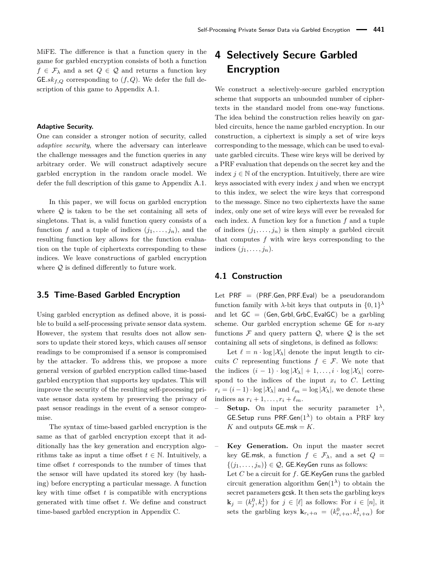MiFE. The difference is that a function query in the game for garbled encryption consists of both a function  $f \in \mathcal{F}_{\lambda}$  and a set  $Q \in \mathcal{Q}$  and returns a function key GE. $sk_{f,Q}$  corresponding to  $(f,Q)$ . We defer the full description of this game to Appendix [A.1.](#page-17-5)

### **Adaptive Security.**

One can consider a stronger notion of security, called *adaptive security*, where the adversary can interleave the challenge messages and the function queries in any arbitrary order. We will construct adaptively secure garbled encryption in the random oracle model. We defer the full description of this game to Appendix [A.1.](#page-17-5)

In this paper, we will focus on garbled encryption where  $Q$  is taken to be the set containing all sets of singletons. That is, a valid function query consists of a function *f* and a tuple of indices  $(j_1, \ldots, j_n)$ , and the resulting function key allows for the function evaluation on the tuple of ciphertexts corresponding to these indices. We leave constructions of garbled encryption where  $Q$  is defined differently to future work.

### **3.5 Time-Based Garbled Encryption**

Using garbled encryption as defined above, it is possible to build a self-processing private sensor data system. However, the system that results does not allow sensors to update their stored keys, which causes *all* sensor readings to be compromised if a sensor is compromised by the attacker. To address this, we propose a more general version of garbled encryption called time-based garbled encryption that supports key updates. This will improve the security of the resulting self-processing private sensor data system by preserving the privacy of past sensor readings in the event of a sensor compromise.

The syntax of time-based garbled encryption is the same as that of garbled encryption except that it additionally has the key generation and encryption algorithms take as input a time offset  $t \in \mathbb{N}$ . Intuitively, a time offset *t* corresponds to the number of times that the sensor will have updated its stored key (by hashing) before encrypting a particular message. A function key with time offset *t* is compatible with encryptions generated with time offset *t*. We define and construct time-based garbled encryption in Appendix [C.](#page-22-0)

## <span id="page-7-0"></span>**4 Selectively Secure Garbled Encryption**

We construct a selectively-secure garbled encryption scheme that supports an unbounded number of ciphertexts in the standard model from one-way functions. The idea behind the construction relies heavily on garbled circuits, hence the name garbled encryption. In our construction, a ciphertext is simply a set of wire keys corresponding to the message, which can be used to evaluate garbled circuits. These wire keys will be derived by a PRF evaluation that depends on the secret key and the index  $j \in \mathbb{N}$  of the encryption. Intuitively, there are wire keys associated with every index *j* and when we encrypt to this index, we select the wire keys that correspond to the message. Since no two ciphertexts have the same index, only one set of wire keys will ever be revealed for each index. A function key for a function *f* and a tuple of indices  $(j_1, \ldots, j_n)$  is then simply a garbled circuit that computes *f* with wire keys corresponding to the indices  $(j_1, \ldots, j_n)$ .

### **4.1 Construction**

Let PRF = (PRF*.*Gen*,* PRF*.*Eval) be a pseudorandom function family with  $\lambda$ -bit keys that outputs in  $\{0,1\}^{\lambda}$ and let GC = (Gen*,* GrbI*,* GrbC*,* EvalGC) be a garbling scheme. Our garbled encryption scheme GE for *n*-ary functions  $\mathcal F$  and query pattern  $\mathcal Q$ , where  $\mathcal Q$  is the set containing all sets of singletons, is defined as follows:

Let  $\ell = n \cdot \log |\mathcal{X}_{\lambda}|$  denote the input length to circuits *C* representing functions  $f \in \mathcal{F}$ . We note that the indices  $(i - 1) \cdot \log |\mathcal{X}_{\lambda}| + 1, \ldots, i \cdot \log |\mathcal{X}_{\lambda}|$  correspond to the indices of the input  $x_i$  to  $C$ . Letting  $r_i = (i - 1) \cdot \log |\mathcal{X}_\lambda|$  and  $\ell_m = \log |\mathcal{X}_\lambda|$ , we denote these indices as  $r_i + 1, \ldots, r_i + \ell_m$ .

- $\sim$  **Setup.** On input the security parameter  $1^{\lambda}$ , GE*.*Setup runs PRF*.*Gen(1*λ*) to obtain a PRF key *K* and outputs  $GE.msk = K$ .
- **Key Generation.** On input the master secret key GE.msk, a function  $f \in \mathcal{F}_{\lambda}$ , and a set  $Q =$  $\{(j_1, \ldots, j_n)\}\in \mathcal{Q}$ , GE.KeyGen runs as follows: Let *C* be a circuit for *f*. GE*.*KeyGen runs the garbled circuit generation algorithm  $Gen(1^{\lambda})$  to obtain the secret parameters gcsk. It then sets the garbling keys  $\mathbf{k}_j = (k_j^0, k_j^1)$  for  $j \in [\ell]$  as follows: For  $i \in [n]$ , it sets the garbling keys  $\mathbf{k}_{r_i+\alpha} = (k_{r_i+\alpha}^0, k_{r_i+\alpha}^1)$  for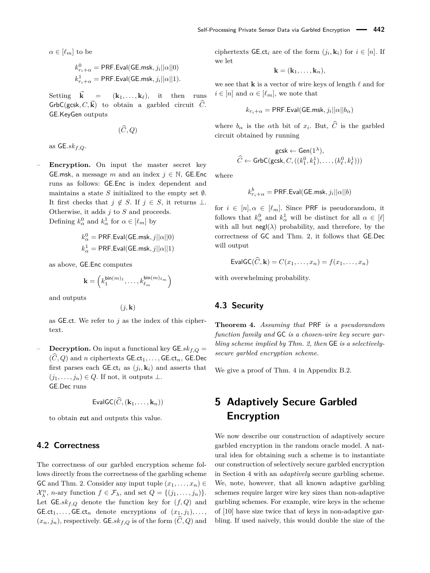$\alpha \in [\ell_m]$  to be

$$
\begin{aligned} k_{r_i+\alpha}^0 = \textsf{PRF.Eval}(\textsf{GE}.\textsf{msk},j_i||\alpha||0) \\ k_{r_i+\alpha}^1 = \textsf{PRF.Eval}(\textsf{GE}.\textsf{msk},j_i||\alpha||1). \end{aligned}
$$

Setting  $\vec{k} = (k_1, \ldots, k_\ell)$ , it then runs  $GrbC(gcsk, C, \vec{k})$  to obtain a garbled circuit  $\hat{C}$ . GE*.*KeyGen outputs

 $(\widehat{C}, Q)$ 

as GE*.skf,Q*.

**Encryption.** On input the master secret key GE.msk, a message *m* and an index  $j \in \mathbb{N}$ , GE.Enc runs as follows: GE*.*Enc is index dependent and maintains a state *S* initialized to the empty set  $\emptyset$ . It first checks that  $j \notin S$ . If  $j \in S$ , it returns ⊥. Otherwise, it adds *j* to *S* and proceeds. Defining  $k_{\alpha}^0$  and  $k_{\alpha}^1$  for  $\alpha \in [\ell_m]$  by

$$
\begin{aligned} & k_{\alpha}^0 = \text{PRF.Eval}(\text{GE}.\text{msk},j||\alpha||0) \\ & k_{\alpha}^1 = \text{PRF.Eval}(\text{GE}.\text{msk},j||\alpha||1) \end{aligned}
$$

as above, GE*.*Enc computes

$$
\mathbf{k} = \left(k_1^{\mathsf{bin}(m)_1}, \ldots, k_{\ell_m}^{\mathsf{bin}(m)_{\ell_m}}\right)
$$

and outputs

$$
(j,\mathbf{k})
$$

as GE*.*ct. We refer to *j* as the index of this ciphertext.

**Decryption.** On input a functional key  $GE..sk_{f,Q}$  $(\widehat{C}, Q)$  and *n* ciphertexts GE.ct<sub>1</sub>, ..., GE.ct<sub>n</sub>, GE.Dec first parses each  $\mathsf{GE}.\mathsf{ct}_i$  as  $(j_i, \mathbf{k}_i)$  and asserts that  $(j_1, \ldots, j_n) \in Q$ . If not, it outputs  $\perp$ . GE*.*Dec runs

 $\textsf{EvalGC}(\widehat{\textit{C}}, (\mathbf{k}_1, \ldots, \mathbf{k}_n))$ 

to obtain out and outputs this value.

### **4.2 Correctness**

The correctness of our garbled encryption scheme follows directly from the correctness of the garbling scheme GC and Thm. [2.](#page-5-0) Consider any input tuple  $(x_1, \ldots, x_n) \in$  $\mathcal{X}_{\lambda}^{n}$ , *n*-ary function  $f \in \mathcal{F}_{\lambda}$ , and set  $Q = \{(j_1, \ldots, j_n)\}.$ Let  $GE.\mathfrak{sk}_{f,Q}$  denote the function key for  $(f,Q)$  and GE.ct<sub>1</sub>, ..., GE.ct<sub>n</sub> denote encryptions of  $(x_1, j_1), \ldots$ ,  $(x_n, j_n)$ , respectively. GE.sk<sub>f,Q</sub> is of the form  $(C, Q)$  and ciphertexts  $GE$ *ct<sub>i</sub>* are of the form  $(j_i, \mathbf{k}_i)$  for  $i \in [n]$ . If we let

$$
\mathbf{k}=(\mathbf{k}_1,\ldots,\mathbf{k}_n),
$$

we see that **k** is a vector of wire keys of length  $\ell$  and for  $i \in [n]$  and  $\alpha \in [\ell_m]$ , we note that

$$
k_{r_i+\alpha} = \mathsf{PRF.Eval}(\mathsf{GE}.\mathsf{msk},j_i||\alpha||b_\alpha)
$$

where  $b_{\alpha}$  is the  $\alpha$ <sup>th</sup> bit of  $x_i$ . But,  $C$  is the garbled circuit obtained by running

$$
\mathsf{gcsk} \leftarrow \mathsf{Gen}(1^\lambda), \\ \widehat{C} \leftarrow \mathsf{GrbC}(\mathsf{gcsk}, C, ((k^0_1, k^1_1), \ldots, (k^0_\ell, k^1_\ell)))
$$

where

$$
k_{r_i+\alpha}^b = \mathsf{PRF.Eval}( \mathsf{GE}.\mathsf{msk}, j_i || \alpha || b )
$$

for  $i \in [n], \alpha \in [\ell_m]$ . Since PRF is pseudorandom, it follows that  $k_{\alpha}^0$  and  $k_{\alpha}^1$  will be distinct for all  $\alpha \in [\ell]$ with all but  $negl(\lambda)$  probability, and therefore, by the correctness of GC and Thm. [2,](#page-5-0) it follows that GE*.*Dec will output

$$
\mathsf{EvalGC}(\widehat{C}, \mathbf{k}) = C(x_1, \dots, x_n) = f(x_1, \dots, x_n)
$$

with overwhelming probability.

### **4.3 Security**

<span id="page-8-0"></span>**Theorem 4.** *Assuming that* PRF *is a pseudorandom function family and* GC *is a chosen-wire key secure garbling scheme implied by Thm. [2,](#page-5-0) then* GE *is a selectivelysecure garbled encryption scheme.*

We give a proof of Thm. [4](#page-8-0) in Appendix [B.2.](#page-19-0)

# <span id="page-8-1"></span>**5 Adaptively Secure Garbled Encryption**

We now describe our construction of adaptively secure garbled encryption in the random oracle model. A natural idea for obtaining such a scheme is to instantiate our construction of selectively secure garbled encryption in Section [4](#page-7-0) with an *adaptively* secure garbling scheme. We, note, however, that all known adaptive garbling schemes require larger wire key sizes than non-adaptive garbling schemes. For example, wire keys in the scheme of [\[10\]](#page-16-9) have size twice that of keys in non-adaptive garbling. If used naively, this would double the size of the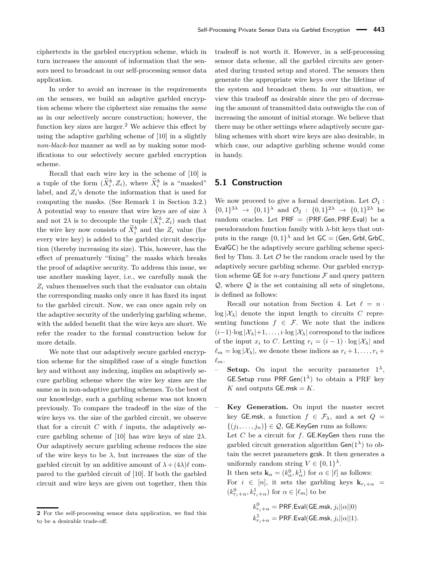ciphertexts in the garbled encryption scheme, which in turn increases the amount of information that the sensors need to broadcast in our self-processing sensor data application.

In order to avoid an increase in the requirements on the sensors, we build an adaptive garbled encryption scheme where the ciphertext size remains the *same* as in our selectively secure construction; however, the function key sizes are larger.<sup>[2](#page-0-0)</sup> We achieve this effect by using the adaptive garbling scheme of [\[10\]](#page-16-9) in a slightly *non-black-box* manner as well as by making some modifications to our selectively secure garbled encryption scheme.

Recall that each wire key in the scheme of [\[10\]](#page-16-9) is a tuple of the form  $(\widetilde{X}_i^b, Z_i)$ , where  $\widetilde{X}_i^b$  is a "masked" label, and  $Z_i$ 's denote the information that is used for computing the masks. (See Remark [1](#page-5-2) in Section [3.2.](#page-5-3)) A potential way to ensure that wire keys are of size *λ* and not 2 $\lambda$  is to decouple the tuple  $(\widetilde{X}_i^b, Z_i)$  such that the wire key now consists of  $\tilde{X}_i^b$  and the  $Z_i$  value (for every wire key) is added to the garbled circuit description (thereby increasing its size). This, however, has the effect of prematurely "fixing" the masks which breaks the proof of adaptive security. To address this issue, we use another masking layer, i.e., we carefully mask the *Z<sup>i</sup>* values themselves such that the evaluator can obtain the corresponding masks only once it has fixed its input to the garbled circuit. Now, we can once again rely on the adaptive security of the underlying garbling scheme, with the added benefit that the wire keys are short. We refer the reader to the formal construction below for more details.

We note that our adaptively secure garbled encryption scheme for the simplified case of a single function key and without any indexing, implies an adaptively secure garbling scheme where the wire key sizes are the same as in non-adaptive garbling schemes. To the best of our knowledge, such a garbling scheme was not known previously. To compare the tradeoff in the size of the wire keys vs. the size of the garbled circuit, we observe that for a circuit  $C$  with  $\ell$  inputs, the adaptively se-cure garbling scheme of [\[10\]](#page-16-9) has wire keys of size  $2\lambda$ . Our adaptively secure garbling scheme reduces the size of the wire keys to be  $\lambda$ , but increases the size of the garbled circuit by an additive amount of  $\lambda + (4\lambda)\ell$  compared to the garbled circuit of [\[10\]](#page-16-9). If both the garbled circuit and wire keys are given out together, then this

tradeoff is not worth it. However, in a self-processing sensor data scheme, all the garbled circuits are generated during trusted setup and stored. The sensors then generate the appropriate wire keys over the lifetime of the system and broadcast them. In our situation, we view this tradeoff as desirable since the pro of decreasing the amount of transmitted data outweighs the con of increasing the amount of initial storage. We believe that there may be other settings where adaptively secure garbling schemes with short wire keys are also desirable, in which case, our adaptive garbling scheme would come in handy.

### **5.1 Construction**

We now proceed to give a formal description. Let  $\mathcal{O}_1$ :  $\{0,1\}^{3\lambda} \rightarrow \{0,1\}^{\lambda}$  and  $\mathcal{O}_2$  :  $\{0,1\}^{2\lambda} \rightarrow \{0,1\}^{2\lambda}$  be random oracles. Let PRF = (PRF*.*Gen*,* PRF*.*Eval) be a pseudorandom function family with *λ*-bit keys that outputs in the range  $\{0,1\}^{\lambda}$  and let  $\mathsf{GC} = \mathsf{(Gen, Grbl, GrbC)}$ EvalGC) be the adaptively secure garbling scheme speci-fied by Thm. [3.](#page-5-1) Let  $\mathcal O$  be the random oracle used by the adaptively secure garbling scheme. Our garbled encryption scheme GE for *n*-ary functions  $\mathcal F$  and query pattern  $Q$ , where  $Q$  is the set containing all sets of singletons, is defined as follows:

Recall our notation from Section [4.](#page-7-0) Let  $\ell = n$ .  $\log |\mathcal{X}_\lambda|$  denote the input length to circuits *C* representing functions  $f \in \mathcal{F}$ . We note that the indices  $(i-1)\cdot \log |\mathcal{X}_{\lambda}|+1, \ldots, i\cdot \log |\mathcal{X}_{\lambda}|$  correspond to the indices of the input  $x_i$  to C. Letting  $r_i = (i-1) \cdot \log |\mathcal{X}_\lambda|$  and  $\ell_m = \log |\mathcal{X}_\lambda|$ , we denote these indices as  $r_i + 1, \ldots, r_i + \ell_m$  $\ell_m$ .

 $\sim$  **Setup.** On input the security parameter  $1^{\lambda}$ , GE*.*Setup runs PRF*.*Gen(1*λ*) to obtain a PRF key *K* and outputs  $GE.msk = K$ .

– **Key Generation.** On input the master secret key GE.msk, a function  $f \in \mathcal{F}_{\lambda}$ , and a set  $Q =$  $\{(j_1, \ldots, j_n)\} \in \mathcal{Q}$ , GE.KeyGen runs as follows: Let *C* be a circuit for *f*. GE*.*KeyGen then runs the garbled circuit generation algorithm  $Gen(1^{\lambda})$  to obtain the secret parameters gcsk. It then generates a uniformly random string  $V \in \{0,1\}^{\lambda}$ . It then sets  $\mathbf{k}_{\alpha} = (k_{\alpha}^0, k_{\alpha}^1)$  for  $\alpha \in [\ell]$  as follows:

For  $i \in [n]$ , it sets the garbling keys  $\mathbf{k}_{r_i+\alpha}$  $(k_{r_i+\alpha}^0, k_{r_i+\alpha}^1)$  for  $\alpha \in [\ell_m]$  to be

$$
\begin{aligned} & k_{r_i+\alpha}^0 = \mathsf{PRF.Eval}(\mathsf{GE}.\mathsf{msk}, j_i||\alpha||0) \\ & k_{r_i+\alpha}^1 = \mathsf{PRF.Eval}(\mathsf{GE}.\mathsf{msk}, j_i||\alpha||1). \end{aligned}
$$

**<sup>2</sup>** For the self-processing sensor data application, we find this to be a desirable trade-off.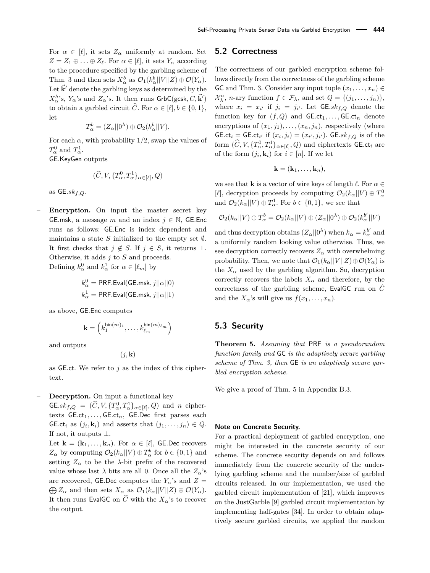For  $\alpha \in [\ell],$  it sets  $Z_{\alpha}$  uniformly at random. Set  $Z = Z_1 \oplus \ldots \oplus Z_\ell$ . For  $\alpha \in [\ell],$  it sets  $Y_\alpha$  according to the procedure specified by the garbling scheme of Thm. [3](#page-5-1) and then sets  $X^b_\alpha$  as  $\mathcal{O}_1(k^b_\alpha||V||Z) \oplus \mathcal{O}(Y_\alpha)$ . Let  $\vec{k}'$  denote the garbling keys as determined by the  $X_{\alpha}^{b}$ 's,  $Y_{\alpha}$ 's and  $Z_{\alpha}$ 's. It then runs GrbC(gcsk,  $C, \vec{\mathbf{k}}'$ ) to obtain a garbled circuit  $\widehat{C}$ . For  $\alpha \in [\ell], b \in \{0, 1\},$ let

$$
T_{\alpha}^{b} = (Z_{\alpha}||0^{\lambda}) \oplus \mathcal{O}_{2}(k_{\alpha}^{b}||V).
$$

For each  $\alpha$ , with probability 1/2, swap the values of  $T^0_\alpha$  and  $T^1_\alpha$ .

GE*.*KeyGen outputs

$$
(\widehat{C}, V, \{T^0_{\alpha}, T^1_{\alpha}\}_{{\alpha}\in[\ell]}, Q)
$$

as GE*.skf,Q*.

– **Encryption.** On input the master secret key GE.msk, a message *m* and an index  $j \in \mathbb{N}$ , GE.Enc runs as follows: GE*.*Enc is index dependent and maintains a state *S* initialized to the empty set  $\emptyset$ . It first checks that  $j \notin S$ . If  $j \in S$ , it returns ⊥. Otherwise, it adds *j* to *S* and proceeds. Defining  $k_{\alpha}^0$  and  $k_{\alpha}^1$  for  $\alpha \in [\ell_m]$  by

$$
\begin{aligned} & k_{\alpha}^0 = \text{PRF.Eval}(\text{GE}.\text{msk},j||\alpha||0) \\ & k_{\alpha}^1 = \text{PRF.Eval}(\text{GE}.\text{msk},j||\alpha||1) \end{aligned}
$$

as above, GE*.*Enc computes

$$
\mathbf{k}=\left(k_1^{\mathsf{bin}(m)_1},\ldots,k_{\ell_m}^{\mathsf{bin}(m)_{\ell_m}}\right)
$$

and outputs

$$
(j, \mathbf{k})
$$

as GE*.*ct. We refer to *j* as the index of this ciphertext.

#### – **Decryption.** On input a functional key

 $G \in sk_{f,Q} = (\widehat{C}, V, \{T_\alpha^0, T_\alpha^1\}_{\alpha \in [\ell]}, Q)$  and *n* ciphertexts  $GExct_1, \ldots, GExct_n$ ,  $GExC_1$ ,  $GExC_2$  first parses each GE.ct<sub>*i*</sub> as  $(j_i, \mathbf{k}_i)$  and asserts that  $(j_1, \ldots, j_n) \in Q$ . If not, it outputs ⊥.

Let  $\mathbf{k} = (\mathbf{k}_1, \dots, \mathbf{k}_n)$ . For  $\alpha \in [\ell],$  GE. Dec recovers  $Z_{\alpha}$  by computing  $\mathcal{O}_2(k_{\alpha}||V) \oplus T_{\alpha}^b$  for  $b \in \{0, 1\}$  and setting  $Z_{\alpha}$  to be the *λ*-bit prefix of the recovered value whose last  $\lambda$  bits are all 0. Once all the  $Z_{\alpha}$ 's are recovered, GE.Dec computes the  $Y_\alpha$ 's and  $Z =$  $\bigoplus Z_\alpha$  and then sets  $X_\alpha$  as  $\mathcal{O}_1(k_\alpha||V||Z) \oplus \mathcal{O}(Y_\alpha)$ . It then runs EvalGC on  $\widehat{C}$  with the  $X_{\alpha}$ 's to recover the output.

### **5.2 Correctness**

The correctness of our garbled encryption scheme follows directly from the correctness of the garbling scheme GC and Thm. [3.](#page-5-1) Consider any input tuple  $(x_1, \ldots, x_n) \in$  $\mathcal{X}_{\lambda}^{n}$ , *n*-ary function  $f \in \mathcal{F}_{\lambda}$ , and set  $Q = \{(j_1, \ldots, j_n)\},\$ where  $x_i = x_{i'}$  if  $j_i = j_{i'}$ . Let  $\mathsf{GE}.sk_{f,Q}$  denote the function key for  $(f, Q)$  and  $\mathsf{GE}.\mathsf{ct}_1, \ldots, \mathsf{GE}.\mathsf{ct}_n$  denote encryptions of  $(x_1, j_1), \ldots, (x_n, j_n)$ , respectively (where GE.ct<sub>*i*</sub> = GE.ct<sub>*i*</sub></sub>, if  $(x_i, j_i) = (x_{i'}, j_{i'})$ . GE.sk<sub>*f*,Q</sub> is of the form  $(\hat{C}, V, \{T^0_{\alpha}, T^1_{\alpha}\}_{{\alpha \in}[\ell]}, Q)$  and ciphertexts GE.ct<sub>*i*</sub> are of the form  $(j_i, \mathbf{k}_i)$  for  $i \in [n]$ . If we let

$$
\mathbf{k}=(\mathbf{k}_1,\ldots,\mathbf{k}_n),
$$

we see that **k** is a vector of wire keys of length  $\ell$ . For  $\alpha \in$ [ $\ell$ ], decryption proceeds by computing  $\mathcal{O}_2(k_\alpha||V) \oplus T_\alpha^0$ and  $\mathcal{O}_2(k_\alpha||V) \oplus T_\alpha^1$ . For  $b \in \{0,1\}$ , we see that

$$
\mathcal{O}_2(k_\alpha||V) \oplus T_\alpha^b = \mathcal{O}_2(k_\alpha||V) \oplus (Z_\alpha||0^\lambda) \oplus \mathcal{O}_2(k_\alpha^{b'}||V)
$$

and thus decryption obtains  $(Z_{\alpha}||0^{\lambda})$  when  $k_{\alpha} = k_{\alpha}^{b'}$  and a uniformly random looking value otherwise. Thus, we see decryption correctly recovers  $Z_\alpha$  with overwhelming probability. Then, we note that  $\mathcal{O}_1(k_\alpha||V||Z) \oplus \mathcal{O}(Y_\alpha)$  is the  $X_\alpha$  used by the garbling algorithm. So, decryption correctly recovers the labels  $X_\alpha$  and therefore, by the correctness of the garbling scheme, EvalGC run on  $\hat{C}$ and the  $X_{\alpha}$ 's will give us  $f(x_1, \ldots, x_n)$ .

### **5.3 Security**

<span id="page-10-0"></span>**Theorem 5.** *Assuming that* PRF *is a pseudorandom function family and* GC *is the adaptively secure garbling scheme of Thm. [3,](#page-5-1) then* GE *is an adaptively secure garbled encryption scheme.*

We give a proof of Thm. [5](#page-10-0) in Appendix [B.3.](#page-20-0)

#### **Note on Concrete Security.**

For a practical deployment of garbled encryption, one might be interested in the concrete security of our scheme. The concrete security depends on and follows immediately from the concrete security of the underlying garbling scheme and the number/size of garbled circuits released. In our implementation, we used the garbled circuit implementation of [\[21\]](#page-16-11), which improves on the JustGarble [\[9\]](#page-16-12) garbled circuit implementation by implementing half-gates [\[34\]](#page-17-6). In order to obtain adaptively secure garbled circuits, we applied the random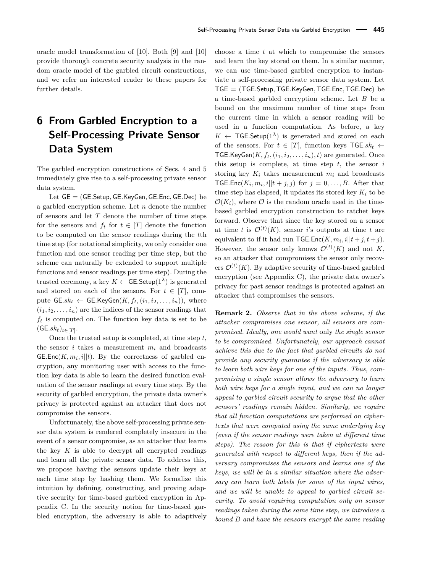oracle model transformation of [\[10\]](#page-16-9). Both [\[9\]](#page-16-12) and [\[10\]](#page-16-9) provide thorough concrete security analysis in the random oracle model of the garbled circuit constructions, and we refer an interested reader to these papers for further details.

# <span id="page-11-0"></span>**6 From Garbled Encryption to a Self-Processing Private Sensor Data System**

The garbled encryption constructions of Secs. [4](#page-7-0) and [5](#page-8-1) immediately give rise to a self-processing private sensor data system.

Let GE = (GE*.*Setup*,* GE*.*KeyGen*,* GE*.*Enc*,* GE*.*Dec) be a garbled encryption scheme. Let *n* denote the number of sensors and let *T* denote the number of time steps for the sensors and  $f_t$  for  $t \in [T]$  denote the function to be computed on the sensor readings during the *t*th time step (for notational simplicity, we only consider one function and one sensor reading per time step, but the scheme can naturally be extended to support multiple functions and sensor readings per time step). During the trusted ceremony, a key  $K \leftarrow$  GE. Setup(1<sup> $\lambda$ </sup>) is generated and stored on each of the sensors. For  $t \in [T]$ , compute  $GE..sk_t \leftarrow GE.KeyGen(K, f_t, (i_1, i_2, \ldots, i_n)),$  where  $(i_1, i_2, \ldots, i_n)$  are the indices of the sensor readings that  $f_t$  is computed on. The function key data is set to be  $(GE.\mathfrak{sk}_t)_{t\in[T]}.$ 

Once the trusted setup is completed, at time step *t*, the sensor *i* takes a measurement  $m_i$  and broadcasts GE.Enc $(K, m_i, i||t)$ . By the correctness of garbled encryption, any monitoring user with access to the function key data is able to learn the desired function evaluation of the sensor readings at every time step. By the security of garbled encryption, the private data owner's privacy is protected against an attacker that does not compromise the sensors.

Unfortunately, the above self-processing private sensor data system is rendered completely insecure in the event of a sensor compromise, as an attacker that learns the key  $K$  is able to decrypt all encrypted readings and learn all the private sensor data. To address this, we propose having the sensors update their keys at each time step by hashing them. We formalize this intuition by defining, constructing, and proving adaptive security for time-based garbled encryption in Appendix [C.](#page-22-0) In the security notion for time-based garbled encryption, the adversary is able to adaptively

choose a time *t* at which to compromise the sensors and learn the key stored on them. In a similar manner, we can use time-based garbled encryption to instantiate a self-processing private sensor data system. Let TGE = (TGE*.*Setup*,*TGE*.*KeyGen*,*TGE*.*Enc*,*TGE*.*Dec) be a time-based garbled encryption scheme. Let *B* be a bound on the maximum number of time steps from the current time in which a sensor reading will be used in a function computation. As before, a key  $K \leftarrow \textsf{TGE}.\textsf{Setup}(1^{\lambda})$  is generated and stored on each of the sensors. For  $t \in [T]$ , function keys  $TGE$ . TGE.KeyGen $(K, f_t, (i_1, i_2, \ldots, i_n), t)$  are generated. Once this setup is complete, at time step *t*, the sensor *i* storing key  $K_i$  takes measurement  $m_i$  and broadcasts **TGE.Enc**( $K_i$ ,  $m_i$ ,  $i||t+j$ ,  $j$ ) for  $j=0,\ldots,B$ . After that time step has elapsed, it updates its stored key  $K_i$  to be  $\mathcal{O}(K_i)$ , where  $\mathcal O$  is the random oracle used in the timebased garbled encryption construction to ratchet keys forward. Observe that since the key stored on a sensor at time *t* is  $\mathcal{O}^{(t)}(K)$ , sensor *i*'s outputs at time *t* are equivalent to if it had run  $\mathsf{TGE}.\mathsf{Enc}(K, m_i, i||t+j, t+j).$ However, the sensor only knows  $\mathcal{O}^{(t)}(K)$  and not K, so an attacker that compromises the sensor only recovers  $\mathcal{O}^{(t)}(K)$ . By adaptive security of time-based garbled encryption (see Appendix [C\)](#page-22-0), the private data owner's privacy for past sensor readings is protected against an attacker that compromises the sensors.

**Remark 2.** *Observe that in the above scheme, if the attacker compromises one sensor, all sensors are compromised. Ideally, one would want* only *the single sensor to be compromised. Unfortunately, our approach cannot achieve this due to the fact that garbled circuits do not provide any security guarantee if the adversary is able to learn both wire keys for one of the inputs. Thus, compromising a single sensor allows the adversary to learn both wire keys for a single input, and we can no longer appeal to garbled circuit security to argue that the other sensors' readings remain hidden. Similarly, we require that all function computations are performed on ciphertexts that were computed using the same underlying key (even if the sensor readings were taken at different time steps). The reason for this is that if ciphertexts were generated with respect to different keys, then if the adversary compromises the sensors and learns one of the keys, we will be in a similar situation where the adversary can learn both labels for some of the input wires, and we will be unable to appeal to garbled circuit security. To avoid requiring computation only on sensor readings taken during the same time step, we introduce a bound B and have the sensors encrypt the same reading*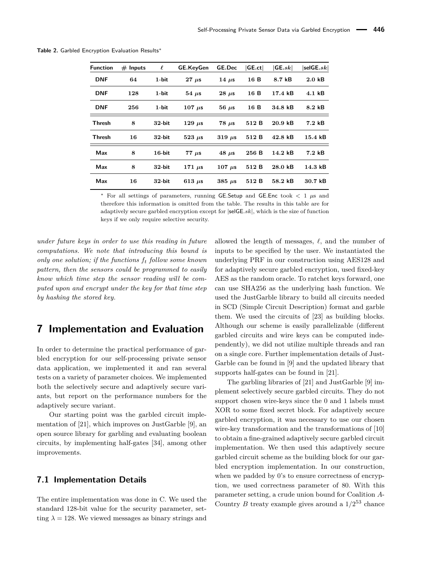| <b>Function</b> | $#$ Inputs | $\ell$    | <b>GE.KeyGen</b> | <b>GE.Dec</b> | GE.ct | GE.sk             | $ \mathsf{selGE}.sk $ |
|-----------------|------------|-----------|------------------|---------------|-------|-------------------|-----------------------|
| <b>DNF</b>      | 64         | $1$ -bit  | $27 \mu s$       | 14 $\mu$ s    | 16 B  | 8.7 kB            | $2.0 \text{ kB}$      |
| <b>DNF</b>      | 128        | $1$ -bit  | $54 \mu s$       | $28 \mu s$    | 16 B  | 17.4 kB           | $4.1 \text{ kB}$      |
| <b>DNF</b>      | 256        | $1$ -bit  | $107 \mu s$      | $56 \mu s$    | 16 B  | 34.8 kB           | 8.2 kB                |
| <b>Thresh</b>   | 8          | $32$ -bit | $129 \mu s$      | $78 \mu s$    | 512 B | $20.9$ kB         | $7.2 \; \text{kB}$    |
| <b>Thresh</b>   | 16         | $32$ -bit | $523 \mu s$      | $319 \mu s$   | 512 B | $42.8 \text{ kB}$ | $15.4 \text{ kB}$     |
| Max             | 8          | $16$ -bit | $77 \mu s$       | $48 \mu s$    | 256 B | 14.2 kB           | $7.2 \; \text{kB}$    |
| Max             | 8          | $32$ -bit | 171 $\mu$ s      | $107 \mu s$   | 512 B | 28.0 kB           | $14.3 \text{ kB}$     |
| Max             | 16         | $32$ -bit | 613 $\mu$ s      | $385 \mu s$   | 512 B | $58.2$ kB         | $30.7$ $kB$           |

<span id="page-12-0"></span>**Table 2.** Garbled Encryption Evaluation Results<sup>∗</sup>

<sup>∗</sup> For all settings of parameters, running GE*.*Setup and GE*.*Enc took *<* 1 *µ*s and therefore this information is omitted from the table. The results in this table are for adaptively secure garbled encryption except for |selGE*.sk*|, which is the size of function keys if we only require selective security.

*under future keys in order to use this reading in future computations. We note that introducing this bound is only one solution; if the functions f<sup>t</sup> follow some known pattern, then the sensors could be programmed to easily know which time step the sensor reading will be computed upon and encrypt under the key for that time step by hashing the stored key.*

### **7 Implementation and Evaluation**

In order to determine the practical performance of garbled encryption for our self-processing private sensor data application, we implemented it and ran several tests on a variety of parameter choices. We implemented both the selectively secure and adaptively secure variants, but report on the performance numbers for the adaptively secure variant.

Our starting point was the garbled circuit implementation of [\[21\]](#page-16-11), which improves on JustGarble [\[9\]](#page-16-12), an open source library for garbling and evaluating boolean circuits, by implementing half-gates [\[34\]](#page-17-6), among other improvements.

### **7.1 Implementation Details**

The entire implementation was done in C. We used the standard 128-bit value for the security parameter, setting  $\lambda = 128$ . We viewed messages as binary strings and allowed the length of messages,  $\ell$ , and the number of inputs to be specified by the user. We instantiated the underlying PRF in our construction using AES128 and for adaptively secure garbled encryption, used fixed-key AES as the random oracle. To ratchet keys forward, one can use SHA256 as the underlying hash function. We used the JustGarble library to build all circuits needed in SCD (Simple Circuit Description) format and garble them. We used the circuits of [\[23\]](#page-16-13) as building blocks. Although our scheme is easily parallelizable (different garbled circuits and wire keys can be computed independently), we did not utilize multiple threads and ran on a single core. Further implementation details of Just-Garble can be found in [\[9\]](#page-16-12) and the updated library that supports half-gates can be found in [\[21\]](#page-16-11).

The garbling libraries of [\[21\]](#page-16-11) and JustGarble [\[9\]](#page-16-12) implement selectively secure garbled circuits. They do not support chosen wire-keys since the 0 and 1 labels must XOR to some fixed secret block. For adaptively secure garbled encryption, it was necessary to use our chosen wire-key transformation and the transformations of [\[10\]](#page-16-9) to obtain a fine-grained adaptively secure garbled circuit implementation. We then used this adaptively secure garbled circuit scheme as the building block for our garbled encryption implementation. In our construction, when we padded by 0's to ensure correctness of encryption, we used correctness parameter of 80. With this parameter setting, a crude union bound for Coalition *A*-Country *B* treaty example gives around a  $1/2^{53}$  chance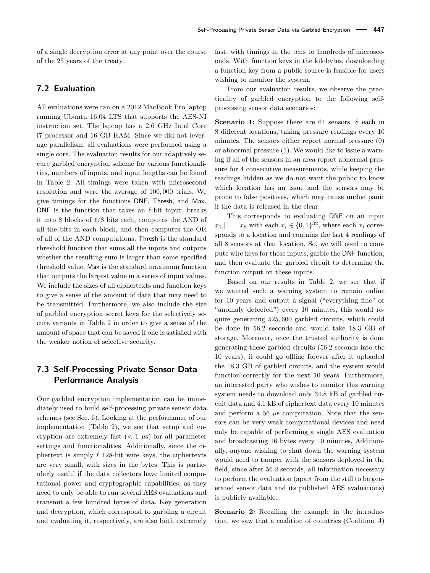of a single decryption error at any point over the course of the 25 years of the treaty.

### **7.2 Evaluation**

All evaluations were ran on a 2012 MacBook Pro laptop running Ubuntu 16.04 LTS that supports the AES-NI instruction set. The laptop has a 2.6 GHz Intel Core i7 processor and 16 GB RAM. Since we did not leverage parallelism, all evaluations were performed using a single core. The evaluation results for our adaptively secure garbled encryption scheme for various functionalities, numbers of inputs, and input lengths can be found in Table [2.](#page-12-0) All timings were taken with microsecond resolution and were the average of 100*,* 000 trials. We give timings for the functions DNF, Thresh, and Max. DNF is the function that takes an  $\ell$ -bit input, breaks it into 8 blocks of  $\ell/8$  bits each, computes the AND of all the bits in each block, and then computes the OR of all of the AND computations. Thresh is the standard threshold function that sums all the inputs and outputs whether the resulting sum is larger than some specified threshold value. Max is the standard maximum function that outputs the largest value in a series of input values. We include the sizes of all ciphertexts and function keys to give a sense of the amount of data that may need to be transmitted. Furthermore, we also include the size of garbled encryption secret keys for the selectively secure variants in Table [2](#page-12-0) in order to give a sense of the amount of space that can be saved if one is satisfied with the weaker notion of selective security.

### **7.3 Self-Processing Private Sensor Data Performance Analysis**

Our garbled encryption implementation can be immediately used to build self-processing private sensor data schemes (see Sec. [6\)](#page-11-0). Looking at the performance of our implementation (Table [2\)](#page-12-0), we see that setup and encryption are extremely fast  $(< 1 \mu s$ ) for all parameter settings and functionalities. Additionally, since the ciphertext is simply  $\ell$  128-bit wire keys, the ciphertexts are very small, with sizes in the bytes. This is particularly useful if the data collectors have limited computational power and cryptographic capabilities, as they need to only be able to run several AES evaluations and transmit a few hundred bytes of data. Key generation and decryption, which correspond to garbling a circuit and evaluating it, respectively, are also both extremely

fast, with timings in the tens to hundreds of microseconds. With function keys in the kilobytes, downloading a function key from a public source is feasible for users wishing to monitor the system.

From our evaluation results, we observe the practicality of garbled encryption to the following selfprocessing sensor data scenarios:

**Scenario 1:** Suppose there are 64 sensors, 8 each in 8 different locations, taking pressure readings every 10 minutes. The sensors either report normal pressure (0) or abnormal pressure (1). We would like to issue a warning if all of the sensors in an area report abnormal pressure for 4 consecutive measurements, while keeping the readings hidden as we do not want the public to know which location has an issue and the sensors may be prone to false positives, which may cause undue panic if the data is released in the clear.

This corresponds to evaluating DNF on an input  $x_1 || \dots || x_8$  with each  $x_i \in \{0, 1\}^{32}$ , where each  $x_i$  corresponds to a location and contains the last 4 readings of all 8 sensors at that location. So, we will need to compute wire keys for these inputs, garble the DNF function, and then evaluate the garbled circuit to determine the function output on these inputs.

Based on our results in Table [2,](#page-12-0) we see that if we wanted such a warning system to remain online for 10 years and output a signal ("everything fine" or "anomaly detected") every 10 minutes, this would require generating 525*,* 600 garbled circuits, which could be done in 56*.*2 seconds and would take 18*.*3 GB of storage. Moreover, once the trusted authority is done generating these garbled circuits (56*.*2 seconds into the 10 years), it could go offline forever after it uploaded the 18*.*3 GB of garbled circuits, and the system would function correctly for the next 10 years. Furthermore, an interested party who wishes to monitor this warning system needs to download only 34*.*8 kB of garbled circuit data and 4*.*1 kB of ciphertext data every 10 minutes and perform a 56 *µ*s computation. Note that the sensors can be very weak computational devices and need only be capable of performing a single AES evaluation and broadcasting 16 bytes every 10 minutes. Additionally, anyone wishing to shut down the warning system would need to tamper with the sensors deployed in the field, since after 56*.*2 seconds, all information necessary to perform the evaluation (apart from the still to be generated sensor data and its published AES evaluations) is publicly available.

**Scenario 2:** Recalling the example in the introduction, we saw that a coalition of countries (Coalition *A*)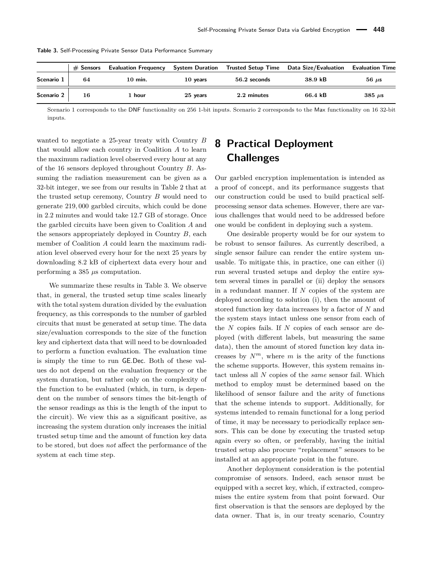<span id="page-14-1"></span>

|            | $\#$ Sensors | <b>Evaluation Frequency</b> |          |              | System Duration Trusted Setup Time Data Size/Evaluation Evaluation Time |                           |
|------------|--------------|-----------------------------|----------|--------------|-------------------------------------------------------------------------|---------------------------|
| Scenario 1 | 64           | $10 \text{ min.}$           | 10 years | 56.2 seconds | $38.9 \text{ kB}$                                                       | $56 \mu s$                |
| Scenario 2 | 16           | 1 hour                      | 25 years | 2.2 minutes  | 66.4 kB                                                                 | $385 \text{ }\mu\text{s}$ |

**Table 3.** Self-Processing Private Sensor Data Performance Summary

Scenario 1 corresponds to the DNF functionality on 256 1-bit inputs. Scenario 2 corresponds to the Max functionality on 16 32-bit inputs.

wanted to negotiate a 25-year treaty with Country *B* that would allow each country in Coalition *A* to learn the maximum radiation level observed every hour at any of the 16 sensors deployed throughout Country *B*. Assuming the radiation measurement can be given as a 32-bit integer, we see from our results in Table [2](#page-12-0) that at the trusted setup ceremony, Country *B* would need to generate 219*,* 000 garbled circuits, which could be done in 2*.*2 minutes and would take 12*.*7 GB of storage. Once the garbled circuits have been given to Coalition *A* and the sensors appropriately deployed in Country *B*, each member of Coalition *A* could learn the maximum radiation level observed every hour for the next 25 years by downloading 8*.*2 kB of ciphertext data every hour and performing a 385 *µ*s computation.

We summarize these results in Table [3.](#page-14-1) We observe that, in general, the trusted setup time scales linearly with the total system duration divided by the evaluation frequency, as this corresponds to the number of garbled circuits that must be generated at setup time. The data size/evaluation corresponds to the size of the function key and ciphertext data that will need to be downloaded to perform a function evaluation. The evaluation time is simply the time to run GE*.*Dec. Both of these values do not depend on the evaluation frequency or the system duration, but rather only on the complexity of the function to be evaluated (which, in turn, is dependent on the number of sensors times the bit-length of the sensor readings as this is the length of the input to the circuit). We view this as a significant positive, as increasing the system duration only increases the initial trusted setup time and the amount of function key data to be stored, but does *not* affect the performance of the system at each time step.

# <span id="page-14-0"></span>**8 Practical Deployment Challenges**

Our garbled encryption implementation is intended as a proof of concept, and its performance suggests that our construction could be used to build practical selfprocessing sensor data schemes. However, there are various challenges that would need to be addressed before one would be confident in deploying such a system.

One desirable property would be for our system to be robust to sensor failures. As currently described, a single sensor failure can render the entire system unusable. To mitigate this, in practice, one can either (i) run several trusted setups and deploy the entire system several times in parallel or (ii) deploy the sensors in a redundant manner. If *N* copies of the system are deployed according to solution (i), then the amount of stored function key data increases by a factor of *N* and the system stays intact unless one sensor from each of the *N* copies fails. If *N* copies of each sensor are deployed (with different labels, but measuring the same data), then the amount of stored function key data increases by  $N^m$ , where *m* is the arity of the functions the scheme supports. However, this system remains intact unless all *N* copies of the *same* sensor fail. Which method to employ must be determined based on the likelihood of sensor failure and the arity of functions that the scheme intends to support. Additionally, for systems intended to remain functional for a long period of time, it may be necessary to periodically replace sensors. This can be done by executing the trusted setup again every so often, or preferably, having the initial trusted setup also procure "replacement" sensors to be installed at an appropriate point in the future.

Another deployment consideration is the potential compromise of sensors. Indeed, each sensor must be equipped with a secret key, which, if extracted, compromises the entire system from that point forward. Our first observation is that the sensors are deployed by the data owner. That is, in our treaty scenario, Country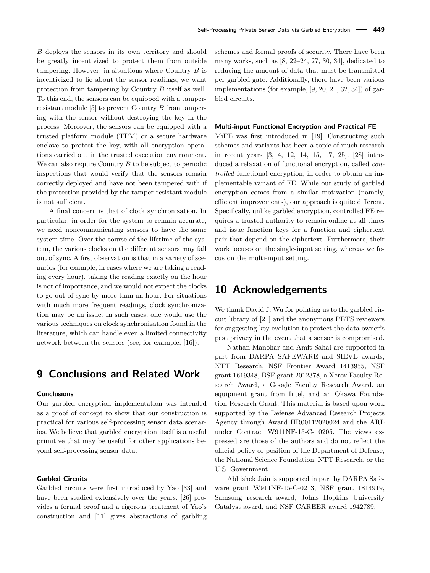*B* deploys the sensors in its own territory and should be greatly incentivized to protect them from outside tampering. However, in situations where Country *B* is incentivized to lie about the sensor readings, we want protection from tampering by Country *B* itself as well. To this end, the sensors can be equipped with a tamperresistant module [\[5\]](#page-16-14) to prevent Country *B* from tampering with the sensor without destroying the key in the process. Moreover, the sensors can be equipped with a trusted platform module (TPM) or a secure hardware enclave to protect the key, with all encryption operations carried out in the trusted execution environment. We can also require Country *B* to be subject to periodic inspections that would verify that the sensors remain correctly deployed and have not been tampered with if the protection provided by the tamper-resistant module is not sufficient.

A final concern is that of clock synchronization. In particular, in order for the system to remain accurate, we need noncommunicating sensors to have the same system time. Over the course of the lifetime of the system, the various clocks on the different sensors may fall out of sync. A first observation is that in a variety of scenarios (for example, in cases where we are taking a reading every hour), taking the reading exactly on the hour is not of importance, and we would not expect the clocks to go out of sync by more than an hour. For situations with much more frequent readings, clock synchronization may be an issue. In such cases, one would use the various techniques on clock synchronization found in the literature, which can handle even a limited connectivity network between the sensors (see, for example, [\[16\]](#page-16-15)).

### **9 Conclusions and Related Work**

#### **Conclusions**

Our garbled encryption implementation was intended as a proof of concept to show that our construction is practical for various self-processing sensor data scenarios. We believe that garbled encryption itself is a useful primitive that may be useful for other applications beyond self-processing sensor data.

#### **Garbled Circuits**

Garbled circuits were first introduced by Yao [\[33\]](#page-17-2) and have been studied extensively over the years. [\[26\]](#page-17-4) provides a formal proof and a rigorous treatment of Yao's construction and [\[11\]](#page-16-10) gives abstractions of garbling

schemes and formal proofs of security. There have been many works, such as [\[8,](#page-16-16) [22–](#page-16-17)[24,](#page-17-7) [27,](#page-17-8) [30,](#page-17-9) [34\]](#page-17-6), dedicated to reducing the amount of data that must be transmitted per garbled gate. Additionally, there have been various implementations (for example, [\[9,](#page-16-12) [20,](#page-16-18) [21,](#page-16-11) [32,](#page-17-10) [34\]](#page-17-6)) of garbled circuits.

#### **Multi-input Functional Encryption and Practical FE**

MiFE was first introduced in [\[19\]](#page-16-4). Constructing such schemes and variants has been a topic of much research in recent years [\[3,](#page-16-19) [4,](#page-16-7) [12,](#page-16-20) [14,](#page-16-8) [15,](#page-16-21) [17,](#page-16-22) [25\]](#page-17-3). [\[28\]](#page-17-11) introduced a relaxation of functional encryption, called *controlled* functional encryption, in order to obtain an implementable variant of FE. While our study of garbled encryption comes from a similar motivation (namely, efficient improvements), our approach is quite different. Specifically, unlike garbled encryption, controlled FE requires a trusted authority to remain online at all times and issue function keys for a function and ciphertext pair that depend on the ciphertext. Furthermore, their work focuses on the single-input setting, whereas we focus on the multi-input setting.

### **10 Acknowledgements**

We thank David J. Wu for pointing us to the garbled circuit library of [\[21\]](#page-16-11) and the anonymous PETS reviewers for suggesting key evolution to protect the data owner's past privacy in the event that a sensor is compromised.

Nathan Manohar and Amit Sahai are supported in part from DARPA SAFEWARE and SIEVE awards, NTT Research, NSF Frontier Award 1413955, NSF grant 1619348, BSF grant 2012378, a Xerox Faculty Research Award, a Google Faculty Research Award, an equipment grant from Intel, and an Okawa Foundation Research Grant. This material is based upon work supported by the Defense Advanced Research Projects Agency through Award HR00112020024 and the ARL under Contract W911NF-15-C- 0205. The views expressed are those of the authors and do not reflect the official policy or position of the Department of Defense, the National Science Foundation, NTT Research, or the U.S. Government.

Abhishek Jain is supported in part by DARPA Safeware grant W911NF-15-C-0213, NSF grant 1814919, Samsung research award, Johns Hopkins University Catalyst award, and NSF CAREER award 1942789.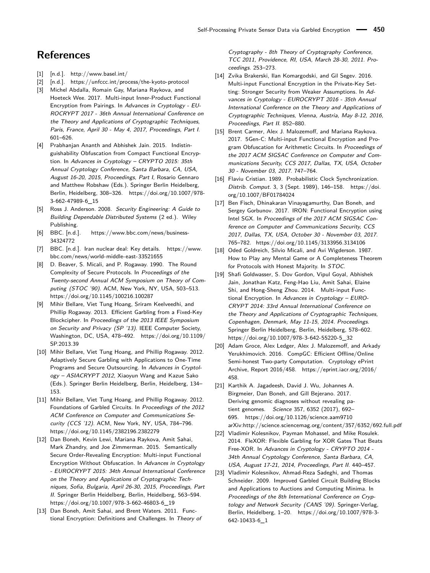### **References**

- <span id="page-16-1"></span>[1] [n.d.].<http://www.basel.int/>
- <span id="page-16-2"></span>[2] [n.d.].<https://unfccc.int/process/the-kyoto-protocol>
- <span id="page-16-19"></span>[3] Michel Abdalla, Romain Gay, Mariana Raykova, and Hoeteck Wee. 2017. Multi-input Inner-Product Functional Encryption from Pairings. In Advances in Cryptology - EU-ROCRYPT 2017 - 36th Annual International Conference on the Theory and Applications of Cryptographic Techniques, Paris, France, April 30 - May 4, 2017, Proceedings, Part I. 601–626.
- <span id="page-16-7"></span>[4] Prabhanjan Ananth and Abhishek Jain. 2015. Indistinguishability Obfuscation from Compact Functional Encryption. In Advances in Cryptology – CRYPTO 2015: 35th Annual Cryptology Conference, Santa Barbara, CA, USA, August 16-20, 2015, Proceedings, Part I, Rosario Gennaro and Matthew Robshaw (Eds.). Springer Berlin Heidelberg, Berlin, Heidelberg, 308–326. [https://doi.org/10.1007/978-](https://doi.org/10.1007/978-3-662-47989-6_15) [3-662-47989-6\\_15](https://doi.org/10.1007/978-3-662-47989-6_15)
- <span id="page-16-14"></span>[5] Ross J. Anderson. 2008. Security Engineering: A Guide to Building Dependable Distributed Systems (2 ed.). Wiley Publishing.
- <span id="page-16-3"></span>[6] BBC. [n.d.]. [https://www.bbc.com/news/business-](https://www.bbc.com/news/business-34324772)[34324772](https://www.bbc.com/news/business-34324772)
- <span id="page-16-0"></span>[7] BBC. [n.d.]. Iran nuclear deal: Key details. [https://www.](https://www.bbc.com/news/world-middle-east-33521655) [bbc.com/news/world-middle-east-33521655](https://www.bbc.com/news/world-middle-east-33521655)
- <span id="page-16-16"></span>[8] D. Beaver, S. Micali, and P. Rogaway. 1990. The Round Complexity of Secure Protocols. In Proceedings of the Twenty-second Annual ACM Symposium on Theory of Computing (STOC '90). ACM, New York, NY, USA, 503–513. <https://doi.org/10.1145/100216.100287>
- <span id="page-16-12"></span>[9] Mihir Bellare, Viet Tung Hoang, Sriram Keelveedhi, and Phillip Rogaway. 2013. Efficient Garbling from a Fixed-Key Blockcipher. In Proceedings of the 2013 IEEE Symposium on Security and Privacy (SP '13). IEEE Computer Society, Washington, DC, USA, 478–492. [https://doi.org/10.1109/](https://doi.org/10.1109/SP.2013.39) [SP.2013.39](https://doi.org/10.1109/SP.2013.39)
- <span id="page-16-9"></span>[10] Mihir Bellare, Viet Tung Hoang, and Phillip Rogaway. 2012. Adaptively Secure Garbling with Applications to One-Time Programs and Secure Outsourcing. In Advances in Cryptology – ASIACRYPT 2012, Xiaoyun Wang and Kazue Sako (Eds.). Springer Berlin Heidelberg, Berlin, Heidelberg, 134– 153.
- <span id="page-16-10"></span>[11] Mihir Bellare, Viet Tung Hoang, and Phillip Rogaway. 2012. Foundations of Garbled Circuits. In Proceedings of the 2012 ACM Conference on Computer and Communications Security (CCS '12). ACM, New York, NY, USA, 784–796. <https://doi.org/10.1145/2382196.2382279>
- <span id="page-16-20"></span>[12] Dan Boneh, Kevin Lewi, Mariana Raykova, Amit Sahai, Mark Zhandry, and Joe Zimmerman. 2015. Semantically Secure Order-Revealing Encryption: Multi-input Functional Encryption Without Obfuscation. In Advances in Cryptology - EUROCRYPT 2015: 34th Annual International Conference on the Theory and Applications of Cryptographic Techniques, Sofia, Bulgaria, April 26-30, 2015, Proceedings, Part II. Springer Berlin Heidelberg, Berlin, Heidelberg, 563–594. [https://doi.org/10.1007/978-3-662-46803-6\\_19](https://doi.org/10.1007/978-3-662-46803-6_19)
- <span id="page-16-5"></span>[13] Dan Boneh, Amit Sahai, and Brent Waters. 2011. Functional Encryption: Definitions and Challenges. In Theory of

Cryptography - 8th Theory of Cryptography Conference, TCC 2011, Providence, RI, USA, March 28-30, 2011. Proceedings. 253–273.

- <span id="page-16-8"></span>[14] Zvika Brakerski, Ilan Komargodski, and Gil Segev. 2016. Multi-input Functional Encryption in the Private-Key Setting: Stronger Security from Weaker Assumptions. In Advances in Cryptology - EUROCRYPT 2016 - 35th Annual International Conference on the Theory and Applications of Cryptographic Techniques, Vienna, Austria, May 8-12, 2016, Proceedings, Part II. 852–880.
- <span id="page-16-21"></span>[15] Brent Carmer, Alex J. Malozemoff, and Mariana Raykova. 2017. 5Gen-C: Multi-input Functional Encryption and Program Obfuscation for Arithmetic Circuits. In Proceedings of the 2017 ACM SIGSAC Conference on Computer and Communications Security, CCS 2017, Dallas, TX, USA, October 30 - November 03, 2017. 747–764.
- <span id="page-16-15"></span>[16] Flaviu Cristian. 1989. Probabilistic Clock Synchronization. Distrib. Comput. 3, 3 (Sept. 1989), 146–158. [https://doi.](https://doi.org/10.1007/BF01784024) [org/10.1007/BF01784024](https://doi.org/10.1007/BF01784024)
- <span id="page-16-22"></span>[17] Ben Fisch, Dhinakaran Vinayagamurthy, Dan Boneh, and Sergey Gorbunov. 2017. IRON: Functional Encryption using Intel SGX. In Proceedings of the 2017 ACM SIGSAC Conference on Computer and Communications Security, CCS 2017, Dallas, TX, USA, October 30 - November 03, 2017. 765–782.<https://doi.org/10.1145/3133956.3134106>
- <span id="page-16-6"></span>[18] Oded Goldreich, Silvio Micali, and Avi Wigderson. 1987. How to Play any Mental Game or A Completeness Theorem for Protocols with Honest Majority. In STOC.
- <span id="page-16-4"></span>[19] Shafi Goldwasser, S. Dov Gordon, Vipul Goyal, Abhishek Jain, Jonathan Katz, Feng-Hao Liu, Amit Sahai, Elaine Shi, and Hong-Sheng Zhou. 2014. Multi-input Functional Encryption. In Advances in Cryptology – EURO-CRYPT 2014: 33rd Annual International Conference on the Theory and Applications of Cryptographic Techniques, Copenhagen, Denmark, May 11-15, 2014. Proceedings. Springer Berlin Heidelberg, Berlin, Heidelberg, 578–602. [https://doi.org/10.1007/978-3-642-55220-5\\_32](https://doi.org/10.1007/978-3-642-55220-5_32)
- <span id="page-16-18"></span>[20] Adam Groce, Alex Ledger, Alex J. Malozemoff, and Arkady Yerukhimovich. 2016. CompGC: Efficient Offline/Online Semi-honest Two-party Computation. Cryptology ePrint Archive, Report 2016/458. [https://eprint.iacr.org/2016/](https://eprint.iacr.org/2016/458) [458.](https://eprint.iacr.org/2016/458)
- <span id="page-16-11"></span>[21] Karthik A. Jagadeesh, David J. Wu, Johannes A. Birgmeier, Dan Boneh, and Gill Bejerano. 2017. Deriving genomic diagnoses without revealing patient genomes. Science 357, 6352 (2017), 692– 695.<https://doi.org/10.1126/science.aam9710> arXiv:http://science.sciencemag.org/content/357/6352/692.full.pdf
- <span id="page-16-17"></span>[22] Vladimir Kolesnikov, Payman Mohassel, and Mike Rosulek. 2014. FleXOR: Flexible Garbling for XOR Gates That Beats Free-XOR. In Advances in Cryptology - CRYPTO 2014 - 34th Annual Cryptology Conference, Santa Barbara, CA, USA, August 17-21, 2014, Proceedings, Part II. 440–457.
- <span id="page-16-13"></span>[23] Vladimir Kolesnikov, Ahmad-Reza Sadeghi, and Thomas Schneider. 2009. Improved Garbled Circuit Building Blocks and Applications to Auctions and Computing Minima. In Proceedings of the 8th International Conference on Cryptology and Network Security (CANS '09). Springer-Verlag, Berlin, Heidelberg, 1–20. [https://doi.org/10.1007/978-3-](https://doi.org/10.1007/978-3-642-10433-6_1) [642-10433-6\\_1](https://doi.org/10.1007/978-3-642-10433-6_1)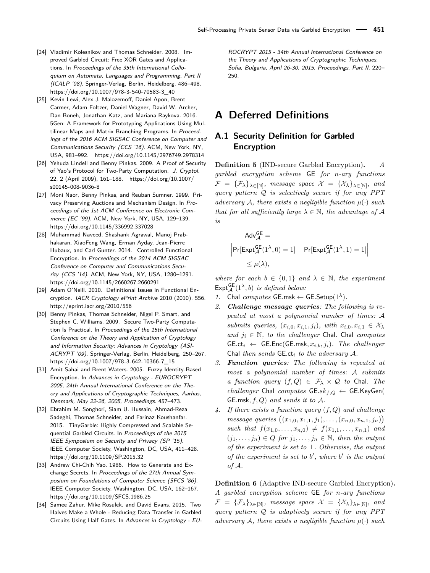- <span id="page-17-7"></span>[24] Vladimir Kolesnikov and Thomas Schneider. 2008. Improved Garbled Circuit: Free XOR Gates and Applications. In Proceedings of the 35th International Colloquium on Automata, Languages and Programming, Part II (ICALP '08). Springer-Verlag, Berlin, Heidelberg, 486–498. [https://doi.org/10.1007/978-3-540-70583-3\\_40](https://doi.org/10.1007/978-3-540-70583-3_40)
- <span id="page-17-3"></span>[25] Kevin Lewi, Alex J. Malozemoff, Daniel Apon, Brent Carmer, Adam Foltzer, Daniel Wagner, David W. Archer, Dan Boneh, Jonathan Katz, and Mariana Raykova. 2016. 5Gen: A Framework for Prototyping Applications Using Multilinear Maps and Matrix Branching Programs. In Proceedings of the 2016 ACM SIGSAC Conference on Computer and Communications Security (CCS '16). ACM, New York, NY, USA, 981–992.<https://doi.org/10.1145/2976749.2978314>
- <span id="page-17-4"></span>[26] Yehuda Lindell and Benny Pinkas. 2009. A Proof of Security of Yao's Protocol for Two-Party Computation. J. Cryptol. 22, 2 (April 2009), 161–188. [https://doi.org/10.1007/](https://doi.org/10.1007/s00145-008-9036-8) [s00145-008-9036-8](https://doi.org/10.1007/s00145-008-9036-8)
- <span id="page-17-8"></span>[27] Moni Naor, Benny Pinkas, and Reuban Sumner. 1999. Privacy Preserving Auctions and Mechanism Design. In Proceedings of the 1st ACM Conference on Electronic Commerce (EC '99). ACM, New York, NY, USA, 129–139. <https://doi.org/10.1145/336992.337028>
- <span id="page-17-11"></span>[28] Muhammad Naveed, Shashank Agrawal, Manoj Prabhakaran, XiaoFeng Wang, Erman Ayday, Jean-Pierre Hubaux, and Carl Gunter. 2014. Controlled Functional Encryption. In Proceedings of the 2014 ACM SIGSAC Conference on Computer and Communications Security (CCS '14). ACM, New York, NY, USA, 1280–1291. <https://doi.org/10.1145/2660267.2660291>
- <span id="page-17-0"></span>[29] Adam O'Neill. 2010. Definitional Issues in Functional Encryption. IACR Cryptology ePrint Archive 2010 (2010), 556. <http://eprint.iacr.org/2010/556>
- <span id="page-17-9"></span>[30] Benny Pinkas, Thomas Schneider, Nigel P. Smart, and Stephen C. Williams. 2009. Secure Two-Party Computation Is Practical. In Proceedings of the 15th International Conference on the Theory and Application of Cryptology and Information Security: Advances in Cryptology (ASI-ACRYPT '09). Springer-Verlag, Berlin, Heidelberg, 250–267. [https://doi.org/10.1007/978-3-642-10366-7\\_15](https://doi.org/10.1007/978-3-642-10366-7_15)
- <span id="page-17-1"></span>[31] Amit Sahai and Brent Waters. 2005. Fuzzy Identity-Based Encryption. In Advances in Cryptology - EUROCRYPT 2005, 24th Annual International Conference on the Theory and Applications of Cryptographic Techniques, Aarhus, Denmark, May 22-26, 2005, Proceedings. 457–473.
- <span id="page-17-10"></span>[32] Ebrahim M. Songhori, Siam U. Hussain, Ahmad-Reza Sadeghi, Thomas Schneider, and Farinaz Koushanfar. 2015. TinyGarble: Highly Compressed and Scalable Sequential Garbled Circuits. In Proceedings of the 2015 IEEE Symposium on Security and Privacy (SP '15). IEEE Computer Society, Washington, DC, USA, 411–428. <https://doi.org/10.1109/SP.2015.32>
- <span id="page-17-2"></span>[33] Andrew Chi-Chih Yao. 1986. How to Generate and Exchange Secrets. In Proceedings of the 27th Annual Symposium on Foundations of Computer Science (SFCS '86). IEEE Computer Society, Washington, DC, USA, 162–167. <https://doi.org/10.1109/SFCS.1986.25>
- <span id="page-17-6"></span>[34] Samee Zahur, Mike Rosulek, and David Evans. 2015. Two Halves Make a Whole - Reducing Data Transfer in Garbled Circuits Using Half Gates. In Advances in Cryptology - EU-

ROCRYPT 2015 - 34th Annual International Conference on the Theory and Applications of Cryptographic Techniques, Sofia, Bulgaria, April 26-30, 2015, Proceedings, Part II. 220– 250.

### **A Deferred Definitions**

### <span id="page-17-5"></span>**A.1 Security Definition for Garbled Encryption**

**Definition 5** (IND-secure Garbled Encryption)**.** *A garbled encryption scheme* GE *for n-ary functions*  $\mathcal{F} \;=\; \{\mathcal{F}_{\lambda}\}_{\lambda \in [\mathbb{N}]},\; \textit{message space}\; \mathcal{X} \;=\; \{\mathcal{X}_{\lambda}\}_{\lambda \in [\mathbb{N}]},\; \textit{ana}$ *query pattern* Q *is selectively secure if for any PPT adversary* A, there exists a negligible function  $\mu(\cdot)$  such *that for all sufficiently large*  $\lambda \in \mathbb{N}$ *, the advantage of* A *is*

$$
\begin{aligned} \mathsf{Adv}_{\mathcal{A}}^{\mathsf{GE}} &= \\ \Big|\mathsf{Pr}[\mathsf{Expt}_{\mathcal{A}}^{\mathsf{GE}}(1^{\lambda},0) = 1] - \mathsf{Pr}[\mathsf{Expt}_{\mathcal{A}}^{\mathsf{GE}}(1^{\lambda},1) = 1] \Big| \\ &\leq \mu(\lambda), \end{aligned}
$$

*where for each*  $b \in \{0,1\}$  *and*  $\lambda \in \mathbb{N}$ *, the experiment*  $\mathsf{Ext}_{\mathcal{A}}^{\mathsf{GE}}(1^{\lambda},b)$  *is defined below:* 

- *1.* Chal *computes* GE.msk  $\leftarrow$  GE.Setup( $1^{\lambda}$ )*.*
- *2. Challenge message queries: The following is repeated at most a polynomial number of times:* A *submits queries,*  $(x_{i,0}, x_{i,1}, j_i)$ *, with*  $x_{i,0}, x_{i,1} \in \mathcal{X}_{\lambda}$ *and*  $j$ <sup>*i*</sup> ∈  $\mathbb{N}$ *, to the challenger* Chal*.* Chal *computes*  $G_{i} \leftarrow G_{i} \leftarrow G_{i} \left( G_{i} \right) \left( G_{i} \right) \left( G_{i} \right) \left( G_{i} \right) \left( G_{i} \right) \left( G_{i} \right) \left( G_{i} \right) \left( G_{i} \right) \left( G_{i} \right) \left( G_{i} \right) \left( G_{i} \right) \left( G_{i} \right) \left( G_{i} \right) \left( G_{i} \right) \left( G_{i} \right) \left( G_{i} \right) \left( G_{i} \right) \left( G_{i} \right) \left( G_{i} \right) \left( G_{i} \right) \left$ Chal *then sends* GE*.*ct*<sup>i</sup> to the adversary* A*.*
- *3. Function queries: The following is repeated at most a polynomial number of times:* A *submits a function query*  $(f, Q) \in \mathcal{F}_{\lambda} \times \mathcal{Q}$  *to* Chal. The  $challenger$  Chal  $computes$  GE. $sk_{f,Q}$   $\leftarrow$  GE.KeyGen( GE*.*msk*, f, Q*) *and sends it to* A*.*
- *4. If there exists a function query* (*f, Q*) *and challenge message queries*  $((x_{1,0}, x_{1,1}, j_1), \ldots, (x_{n,0}, x_{n,1}, j_n))$  $such that f(x_1,0,\ldots,x_{n,0}) \neq f(x_1,1,\ldots,x_{n,1})$  and  $(j_1, \ldots, j_n) \in Q$  *for*  $j_1, \ldots, j_n \in \mathbb{N}$ *, then the output of the experiment is set to* ⊥*. Otherwise, the output of the experiment is set to*  $b'$ , where  $b'$  *is the output of* A*.*

**Definition 6** (Adaptive IND-secure Garbled Encryption)**.** *A garbled encryption scheme* GE *for n-ary functions*  $\mathcal{F} \;=\; \{\mathcal{F}_{\lambda}\}_{\lambda\in[\mathbb{N}]},\;\; message\;\; space\;\; \mathcal{X} \;=\; \{\mathcal{X}_{\lambda}\}_{\lambda\in[\mathbb{N}]},\;\; and$ *query pattern* Q *is adaptively secure if for any PPT adversary* A, there exists a negligible function  $\mu(\cdot)$  such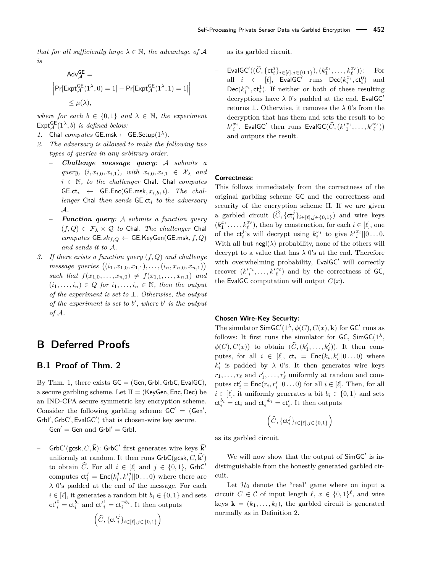*that for all sufficiently large*  $\lambda \in \mathbb{N}$ *, the advantage of* A *is*

$$
\begin{aligned} \mathsf{Adv}_{\mathcal{A}}^{\mathsf{GE}} & = \\ \Big|\mathsf{Pr}[\mathsf{Expt}_{\mathcal{A}}^{\mathsf{GE}}(1^{\lambda},0)=1] - \mathsf{Pr}[\mathsf{Expt}_{\mathcal{A}}^{\mathsf{GE}}(1^{\lambda},1)=1] \Big| \\ & \leq \mu(\lambda), \end{aligned}
$$

*where for each*  $b \in \{0,1\}$  *and*  $\lambda \in \mathbb{N}$ *, the experiment*  $\mathsf{Expt}_{\mathcal{A}}^{\mathsf{GE}}(1^{\lambda},b)$  *is defined below:* 

- *1.* Chal *computes* GE.msk  $\leftarrow$  GE.Setup( $1^{\lambda}$ )*.*
- *2. The adversary is allowed to make the following two types of queries in any arbitrary order.*
	- *Challenge message query:* A *submits a*  $query, (i, x_{i,0}, x_{i,1}), with x_{i,0}, x_{i,1} \in \mathcal{X}_{\lambda} and$ *i* ∈ N*, to the challenger* Chal*.* Chal *computes*  $G_{i} \leftarrow G_{i} \leftarrow G_{i} \left( G_{i} \right) \left( G_{i} \right) \left( G_{i} \right) \left( G_{i} \right) \left( G_{i} \right) \left( G_{i} \right) \left( G_{i} \right) \left( G_{i} \right) \left( G_{i} \right) \left( G_{i} \right) \left( G_{i} \right) \left( G_{i} \right) \left( G_{i} \right) \left( G_{i} \right) \left( G_{i} \right) \left( G_{i} \right) \left( G_{i} \right) \left( G_{i} \right) \left( G_{i} \right) \left( G_{i} \right) \left$ *lenger* Chal *then sends* GE*.*ct*<sup>i</sup> to the adversary* A*.*
	- *Function query:* A *submits a function query*  $(f,Q) \in \mathcal{F}_{\lambda} \times \mathcal{Q}$  to Chal. The challenger Chal *computes* GE*.skf,Q* ← GE*.*KeyGen(GE*.*msk*, f, Q*) *and sends it to* A*.*
- *3. If there exists a function query* (*f, Q*) *and challenge*  $message$   $queries$   $((i_1, x_{1,0}, x_{1,1}), \ldots, (i_n, x_{n,0}, x_{n,1}))$ *such that*  $f(x_{1,0},...,x_{n,0}) \neq f(x_{1,1},...,x_{n,1})$  and  $(i_1, \ldots, i_n) \in Q$  *for*  $i_1, \ldots, i_n \in \mathbb{N}$ *, then the output of the experiment is set to* ⊥*. Otherwise, the output of the experiment is set to b* 0 *, where b* 0 *is the output of* A*.*

### **B Deferred Proofs**

### <span id="page-18-0"></span>**B.1 Proof of Thm. [2](#page-5-0)**

By Thm. [1,](#page-4-0) there exists GC = (Gen*,* GrbI*,* GrbC*,* EvalGC), a secure garbling scheme. Let Π = (KeyGen*,* Enc*,* Dec) be an IND-CPA secure symmetric key encryption scheme. Consider the following garbling scheme  $GC' = (Gen',$ Grbl', GrbC', EvalGC') that is chosen-wire key secure.

 $Gen' = Gen$  and  $Grbl' = Grbl$ .

- GrbC'(gcsk, C,  $\vec{\bf k}$ ): GrbC' first generates wire keys  $\vec{\bf k}'$ uniformly at random. It then runs  $\mathsf{GrbC}(\mathsf{gcsk}, C, \vec{k}')$ to obtain  $\widehat{C}$ . For all  $i \in [\ell]$  and  $j \in \{0,1\}$ , GrbC' computes  $\mathsf{ct}_{i}^{j} = \mathsf{Enc}(k_{i}^{j}, k'_{i}^{j} || 0 \dots 0)$  where there are *λ* 0's padded at the end of the message. For each  $i \in [\ell]$ , it generates a random bit  $b_i \in \{0, 1\}$  and sets  $ct'^0_i = ct^{b_i}_i$  and  $ct'^1_i = ct^{-b_i}_i$ . It then outputs

$$
\left(\widehat{C}, \{\mathsf{ct'}_i^j\}_{i \in [\ell], j \in \{0,1\}}\right)
$$

as its garbled circuit.

 $-$  EvalGC'( $(\widehat{C}, \{ct_i^j\}_{i \in [\ell], j \in \{0,1\}}), (k_1^{x_1}, \ldots, k_\ell^{x_\ell}))$ : For all  $i \in [\ell], \text{EvalGC}$  runs  $\text{Dec}(k_i^{x_i}, \text{ct}_i^0)$  and  $\mathsf{Dec}(k_i^{x_i}, \mathsf{ct}_i^1).$  If neither or both of these resulting decryptions have  $\lambda$  0's padded at the end, EvalGC<sup>'</sup> returns ⊥. Otherwise, it removes the *λ* 0's from the decryption that has them and sets the result to be  $k'^{x_i}_i$ . EvalGC<sup>'</sup> then runs EvalGC( $\widehat{C}$ ,  $(k'^{x_1}_1, \ldots, k'^{x_\ell}_{\ell})$ ) and outputs the result.

### **Correctness:**

This follows immediately from the correctness of the original garbling scheme GC and the correctness and security of the encryption scheme Π. If we are given a garbled circuit  $(\widehat{C}, \{ct_i^j\}_{i \in [\ell], j \in \{0,1\}})$  and wire keys  $(k_1^{x_1}, \ldots, k_\ell^{x_\ell})$ , then by construction, for each  $i \in [\ell]$ , one of the  $ct_i^j$ 's will decrypt using  $k_i^{x_i}$  to give  $k_i'^{x_i}||0...0$ . With all but  $negl(\lambda)$  probability, none of the others will decrypt to a value that has  $\lambda$  0's at the end. Therefore with overwhelming probability,  $EvalGC'$  will correctly recover  $(k'^{x_i}_i, \ldots, k'^{x_\ell}_\ell)$  and by the correctness of GC, the EvalGC computation will output  $C(x)$ .

#### **Chosen Wire-Key Security:**

The simulator  $\mathsf{SimGC}'(1^{\lambda}, \phi(C), C(x), \mathbf{k})$  for  $\mathsf{GC}'$  runs as follows: It first runs the simulator for GC,  $\text{SimGC}(1^{\lambda},$  $\phi(C), C(x)$  to obtain  $(\widehat{C}, (k'_1, \ldots, k'_\ell))$ . It then computes, for all  $i \in [\ell], \mathsf{ct}_i = \mathsf{Enc}(k_i, k'_i || 0 \dots 0)$  where  $k_i'$  is padded by  $\lambda$  0's. It then generates wire keys  $r_1, \ldots, r_\ell$  and  $r'_1, \ldots, r'_\ell$  uniformly at random and computes  $ct'_{i} = Enc(r_{i}, r'_{i}||0...0)$  for all  $i \in [\ell]$ . Then, for all  $i \in [\ell]$ , it uniformly generates a bit  $b_i \in \{0, 1\}$  and sets  $ct_i^{b_i} = ct_i$  and  $ct_i^{-b_i} = ct'_i$ . It then outputs

$$
\left(\widehat{C},\{\mathsf{ct}_i^j\}_{i\in[\ell],j\in\{0,1\}}\right)
$$

as its garbled circuit.

We will now show that the output of  $\mathsf{SimGC}'$  is indistinguishable from the honestly generated garbled circuit.

Let  $\mathcal{H}_0$  denote the "real" game where on input a circuit  $C \in \mathcal{C}$  of input length  $\ell, x \in \{0,1\}^{\ell}$ , and wire keys  $\mathbf{k} = (k_1, \ldots, k_\ell)$ , the garbled circuit is generated normally as in Definition [2.](#page-5-4)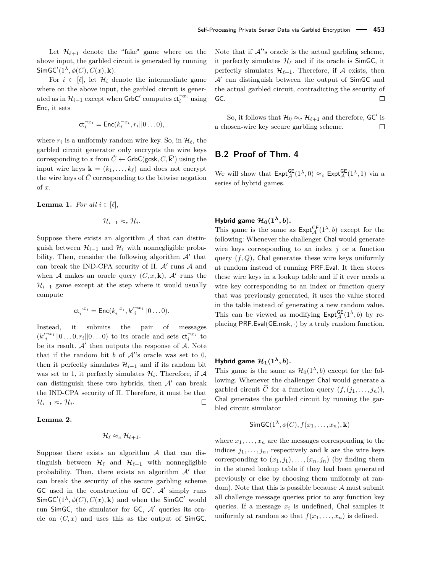Let  $\mathcal{H}_{\ell+1}$  denote the "fake" game where on the above input, the garbled circuit is generated by running  $\textsf{SimGC}'(1^{\lambda}, \phi(C), C(x), \mathbf{k}).$ 

For  $i \in [\ell]$ , let  $\mathcal{H}_i$  denote the intermediate game where on the above input, the garbled circuit is generated as in  $\mathcal{H}_{i-1}$  except when  $\text{GrbC}'$  computes  $\text{ct}_i^{-x_i}$  using Enc, it sets

$$
\mathsf{ct}_i^{-x_i} = \mathsf{Enc}(k_i^{-x_i}, r_i || 0 \dots 0),
$$

where  $r_i$  is a uniformly random wire key. So, in  $\mathcal{H}_\ell$ , the garbled circuit generator only encrypts the wire keys corresponding to *x* from  $\hat{C} \leftarrow$  GrbC(gcsk,  $C, \vec{k}'$ ) using the input wire keys  $\mathbf{k} = (k_1, \ldots, k_\ell)$  and does not encrypt the wire keys of  $\hat{C}$  corresponding to the bitwise negation of *x*.

**Lemma 1.** *For all*  $i \in [\ell]$ *,* 

$$
\mathcal{H}_{i-1} \approx_c \mathcal{H}_i.
$$

Suppose there exists an algorithm  $A$  that can distinguish between  $\mathcal{H}_{i-1}$  and  $\mathcal{H}_i$  with nonnegligible probability. Then, consider the following algorithm  $A'$  that can break the IND-CPA security of  $\Pi$ .  $\mathcal{A}'$  runs  $\mathcal A$  and when A makes an oracle query  $(C, x, \mathbf{k})$ , A' runs the  $\mathcal{H}_{i-1}$  game except at the step where it would usually compute

$$
\mathsf{ct}_i^{-x_i} = \mathsf{Enc}(k_i^{-x_i}, k_i'^{-x_i}||0\ldots 0).
$$

Instead, it submits the pair of messages  $(k'^{-x_i}_{i}||0...0,r_i||0...0)$  to its oracle and sets  $ct_i^{-x_i}$  to be its result.  $A'$  then outputs the response of  $A$ . Note that if the random bit  $b$  of  $A$ 's oracle was set to 0, then it perfectly simulates  $\mathcal{H}_{i-1}$  and if its random bit was set to 1, it perfectly simulates  $\mathcal{H}_i$ . Therefore, if  $\mathcal A$ can distinguish these two hybrids, then  $A'$  can break the IND-CPA security of Π. Therefore, it must be that  $\mathcal{H}_{i-1} \approx_c \mathcal{H}_i.$  $\Box$ 

### **Lemma 2.**

$$
\mathcal{H}_\ell \approx_c \mathcal{H}_{\ell+1}.
$$

Suppose there exists an algorithm  $A$  that can distinguish between  $\mathcal{H}_{\ell}$  and  $\mathcal{H}_{\ell+1}$  with nonnegligible probability. Then, there exists an algorithm  $A'$  that can break the security of the secure garbling scheme GC used in the construction of  $GC'$ .  $A'$  simply runs  $\textsf{SimGC}'(1^{\lambda}, \phi(C), C(x), \mathbf{k})$  and when the SimGC' would run SimGC, the simulator for GC,  $A'$  queries its oracle on  $(C, x)$  and uses this as the output of SimGC.

Note that if  $A$ 's oracle is the actual garbling scheme, it perfectly simulates  $\mathcal{H}_\ell$  and if its oracle is SimGC, it perfectly simulates  $\mathcal{H}_{\ell+1}$ . Therefore, if A exists, then  $\mathcal{A}'$  can distinguish between the output of SimGC and the actual garbled circuit, contradicting the security of GC.  $\Box$ 

So, it follows that  $\mathcal{H}_0 \approx_c \mathcal{H}_{\ell+1}$  and therefore, GC' is a chosen-wire key secure garbling scheme.  $\Box$ 

### <span id="page-19-0"></span>**B.2 Proof of Thm. [4](#page-8-0)**

We will show that  $\text{Expt}_{\mathcal{A}}^{\text{GE}}(1^{\lambda},0) \approx_c \text{Expt}_{\mathcal{A}}^{\text{GE}}(1^{\lambda},1)$  via a series of hybrid games.

### **Hybrid game**  $\mathcal{H}_0(1^{\lambda}, b)$ **.**

This game is the same as  $\text{Expt}_{\mathcal{A}}^{\text{GE}}(1^{\lambda},b)$  except for the following: Whenever the challenger Chal would generate wire keys corresponding to an index *j* or a function query  $(f, Q)$ , Chal generates these wire keys uniformly at random instead of running PRF*.*Eval. It then stores these wire keys in a lookup table and if it ever needs a wire key corresponding to an index or function query that was previously generated, it uses the value stored in the table instead of generating a new random value. This can be viewed as modifying  $\text{Expt}_{\mathcal{A}}^{\text{GE}}(1^{\lambda},b)$  by replacing PRF*.*Eval(GE*.*msk*,* ·) by a truly random function.

### **Hybrid game**  $\mathcal{H}_1(1^{\lambda}, b)$ **.**

This game is the same as  $\mathcal{H}_0(1^{\lambda}, b)$  except for the following. Whenever the challenger Chal would generate a garbled circuit  $\widehat{C}$  for a function query  $(f, (j_1, \ldots, j_n)),$ Chal generates the garbled circuit by running the garbled circuit simulator

$$
\mathsf{SimGC}(1^{\lambda}, \phi(C), f(x_1, \ldots, x_n), \mathbf{k})
$$

where  $x_1, \ldots, x_n$  are the messages corresponding to the indices  $j_1, \ldots, j_n$ , respectively and **k** are the wire keys corresponding to  $(x_1, j_1), \ldots, (x_n, j_n)$  (by finding them in the stored lookup table if they had been generated previously or else by choosing them uniformly at random). Note that this is possible because  $A$  must submit all challenge message queries prior to any function key queries. If a message *x<sup>i</sup>* is undefined, Chal samples it uniformly at random so that  $f(x_1, \ldots, x_n)$  is defined.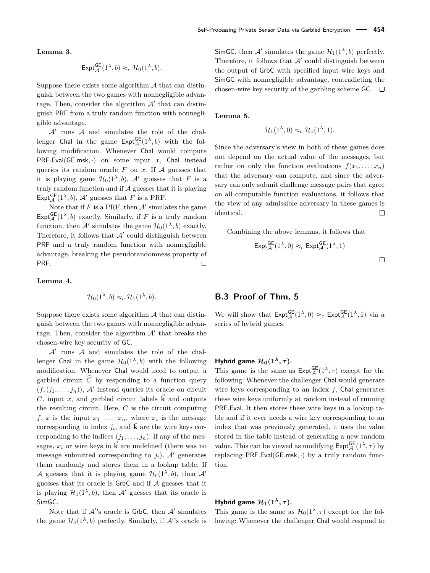**Lemma 3.**

$$
\mathsf{Expt}_{\mathcal{A}}^{\mathsf{GE}}(1^{\lambda},b) \approx_c \mathcal{H}_0(1^{\lambda},b).
$$

Suppose there exists some algorithm  $A$  that can distinguish between the two games with nonnegligible advantage. Then, consider the algorithm  $\mathcal{A}'$  that can distinguish PRF from a truly random function with nonnegligible advantage.

 $\mathcal{A}'$  runs  $\mathcal A$  and simulates the role of the challenger Chal in the game  $\text{Expt}_{\mathcal{A}}^{\text{GE}}(1^{\lambda},b)$  with the following modification. Whenever Chal would compute PRF*.*Eval(GE*.*msk*,* ·) on some input *x*, Chal instead queries its random oracle  $F$  on  $x$ . If  $A$  guesses that it is playing game  $\mathcal{H}_0(1^{\lambda}, b)$ , A' guesses that *F* is a truly random function and if  $A$  guesses that it is playing Expt<sup>GE</sup> $(1^{\lambda}, b)$ , A' guesses that *F* is a PRF.

Note that if  $F$  is a PRF, then  $A'$  simulates the game  $\text{Expt}_{\mathcal{A}}^{\text{GE}}(1^{\lambda}, b)$  exactly. Similarly, if *F* is a truly random function, then  $\mathcal{A}'$  simulates the game  $\mathcal{H}_0(1^{\lambda}, b)$  exactly. Therefore, it follows that  $A'$  could distinguish between PRF and a truly random function with nonnegligible advantage, breaking the pseudorandomness property of PRF.  $\Box$ 

#### **Lemma 4.**

$$
\mathcal{H}_0(1^{\lambda},b) \approx_c \mathcal{H}_1(1^{\lambda},b).
$$

Suppose there exists some algorithm A that can distinguish between the two games with nonnegligible advantage. Then, consider the algorithm  $A'$  that breaks the chosen-wire key security of GC.

 $\mathcal{A}'$  runs  $\mathcal A$  and simulates the role of the challenger Chal in the game  $\mathcal{H}_0(1^{\lambda}, b)$  with the following modification. Whenever Chal would need to output a garbled circuit  $\widehat{C}$  by responding to a function query  $(f,(j_1,\ldots,j_n)), \mathcal{A}'$  instead queries its oracle on circuit *C*, input *x*, and garbled circuit labels  $\vec{k}$  and outputs the resulting circuit. Here, *C* is the circuit computing *f*, *x* is the input  $x_1 || \dots || x_n$ , where  $x_i$  is the message corresponding to index  $j_i$ , and  $\vec{k}$  are the wire keys corresponding to the indices  $(j_1, \ldots, j_n)$ . If any of the messages,  $x_i$  or wire keys in  $\vec{k}$  are undefined (there was no message submitted corresponding to  $j_i$ ),  $A'$  generates them randomly and stores them in a lookup table. If A guesses that it is playing game  $\mathcal{H}_0(1^{\lambda}, b)$ , then  $\mathcal{A}'$ guesses that its oracle is  $GrbC$  and if  $A$  guesses that it is playing  $\mathcal{H}_1(1^{\lambda}, b)$ , then A' guesses that its oracle is SimGC.

Note that if  $A$ 's oracle is GrbC, then  $A'$  simulates the game  $\mathcal{H}_0(1^{\lambda}, b)$  perfectly. Similarly, if  $\mathcal{A}'$ 's oracle is SimGC, then  $\mathcal{A}'$  simulates the game  $\mathcal{H}_1(1^{\lambda}, b)$  perfectly. Therefore, it follows that  $A'$  could distinguish between the output of GrbC with specified input wire keys and SimGC with nonnegligible advantage, contradicting the chosen-wire key security of the garbling scheme  $GC.$   $\Box$ 

#### **Lemma 5.**

$$
\mathcal{H}_1(1^{\lambda},0) \approx_c \mathcal{H}_1(1^{\lambda},1).
$$

Since the adversary's view in both of these games does not depend on the actual value of the messages, but rather on only the function evaluations  $f(x_1, \ldots, x_n)$ that the adversary can compute, and since the adversary can only submit challenge message pairs that agree on all computable function evaluations, it follows that the view of any admissible adversary in these games is  $\Box$ identical.

Combining the above lemmas, it follows that

$$
\mathsf{Expt}_{\mathcal{A}}^{\mathsf{GE}}(1^{\lambda},0)\approx_{c}\mathsf{Expt}_{\mathcal{A}}^{\mathsf{GE}}(1^{\lambda},1)
$$

### <span id="page-20-0"></span>**B.3 Proof of Thm. [5](#page-10-0)**

We will show that  $\text{Expt}_{\mathcal{A}}^{\text{GE}}(1^{\lambda},0) \approx_c \text{Expt}_{\mathcal{A}}^{\text{GE}}(1^{\lambda},1)$  via a series of hybrid games.

### **Hybrid game**  $\mathcal{H}_0(1^{\lambda}, \tau)$ **.**

This game is the same as  $\text{Expt}_{\mathcal{A}}^{\text{GE}}(1^{\lambda}, \tau)$  except for the following: Whenever the challenger Chal would generate wire keys corresponding to an index *j*, Chal generates these wire keys uniformly at random instead of running PRF*.*Eval. It then stores these wire keys in a lookup table and if it ever needs a wire key corresponding to an index that was previously generated, it uses the value stored in the table instead of generating a new random value. This can be viewed as modifying  $\text{Expt}_{\mathcal{A}}^{\text{GE}}(1^{\lambda}, \tau)$  by replacing PRF*.*Eval(GE*.*msk*,* ·) by a truly random function.

### **Hybrid game**  $\mathcal{H}_1(1^{\lambda}, \tau)$ **.**

This game is the same as  $\mathcal{H}_0(1^\lambda, \tau)$  except for the following: Whenever the challenger Chal would respond to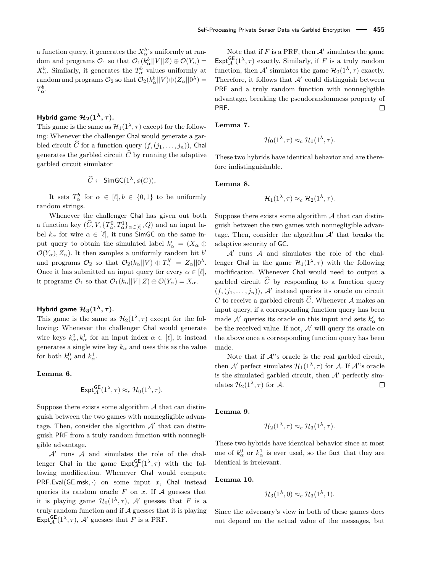a function query, it generates the  $X^b_\alpha$ 's uniformly at random and programs  $\mathcal{O}_1$  so that  $\mathcal{O}_1(k^b_\alpha||V||Z) \oplus \mathcal{O}(Y_\alpha) =$  $X^b_\alpha$ . Similarly, it generates the  $T^b_\alpha$  values uniformly at  $r$  random and programs  $\mathcal{O}_2$  so that  $\mathcal{O}_2(k^b_\alpha||V) \oplus (Z_\alpha||0^\lambda) = 0$ *T b α*.

### **Hybrid game**  $\mathcal{H}_2(1^\lambda, \tau)$ **.**

This game is the same as  $\mathcal{H}_1(1^{\lambda}, \tau)$  except for the following: Whenever the challenger Chal would generate a garbled circuit  $\widehat{C}$  for a function query  $(f, (j_1, \ldots, j_n))$ , Chal generates the garbled circuit  $\widehat{C}$  by running the adaptive garbled circuit simulator

$$
\widehat{C} \leftarrow \mathsf{SimGC}(1^{\lambda}, \phi(C)),
$$

It sets  $T^b_\alpha$  for  $\alpha \in [\ell], b \in \{0,1\}$  to be uniformly random strings.

Whenever the challenger Chal has given out both a function key  $(\widehat{C}, V, \{T^0_\alpha, T^1_\alpha\}_{\alpha \in [\ell]}, Q)$  and an input label  $k_{\alpha}$  for wire  $\alpha \in [\ell],$  it runs SimGC on the same input query to obtain the simulated label  $k'_\n\alpha = (X_\alpha \oplus$  $\mathcal{O}(Y_\alpha), Z_\alpha$ ). It then samples a uniformly random bit *b*<sup>*'*</sup> and programs  $\mathcal{O}_2$  so that  $\mathcal{O}_2(k_\alpha||V) \oplus T_\alpha^{b'} = Z_\alpha||0^\lambda$ . Once it has submitted an input query for every  $\alpha \in [\ell],$ it programs  $\mathcal{O}_1$  so that  $\mathcal{O}_1(k_\alpha||V||Z) \oplus \mathcal{O}(Y_\alpha) = X_\alpha$ .

### **Hybrid game**  $\mathcal{H}_3(1^\lambda, \tau)$ **.**

This game is the same as  $\mathcal{H}_2(1^{\lambda}, \tau)$  except for the following: Whenever the challenger Chal would generate wire keys  $k_{\alpha}^0, k_{\alpha}^1$  for an input index  $\alpha \in [\ell]$ , it instead generates a single wire key  $k_{\alpha}$  and uses this as the value for both  $k_{\alpha}^0$  and  $k_{\alpha}^1$ .

#### **Lemma 6.**

$$
\operatorname{Expt}_{\mathcal A}^{\sf GE}(1^{\lambda},\tau)\approx_c \mathcal H_0(1^{\lambda},\tau).
$$

Suppose there exists some algorithm  $A$  that can distinguish between the two games with nonnegligible advantage. Then, consider the algorithm  $A'$  that can distinguish PRF from a truly random function with nonnegligible advantage.

 $\mathcal{A}'$  runs  $\mathcal A$  and simulates the role of the challenger Chal in the game  $\text{Expt}_{\mathcal{A}}^{\text{GE}}(1^{\lambda}, \tau)$  with the following modification. Whenever Chal would compute PRF*.*Eval(GE*.*msk*,* ·) on some input *x*, Chal instead queries its random oracle  $F$  on  $x$ . If  $A$  guesses that it is playing game  $\mathcal{H}_0(1^{\lambda}, \tau)$ , A' guesses that *F* is a truly random function and if  $A$  guesses that it is playing Expt ${}_{\mathcal{A}}^{\mathsf{GE}}(1^{\lambda}, \tau)$ ,  $\mathcal{A}'$  guesses that *F* is a PRF.

Note that if  $F$  is a PRF, then  $A'$  simulates the game Expt<sup>GE</sup> $(1^{\lambda}, \tau)$  exactly. Similarly, if *F* is a truly random function, then  $\mathcal{A}'$  simulates the game  $\mathcal{H}_0(1^\lambda, \tau)$  exactly. Therefore, it follows that  $A'$  could distinguish between PRF and a truly random function with nonnegligible advantage, breaking the pseudorandomness property of PRF.  $\Box$ 

**Lemma 7.**

$$
\mathcal{H}_0(1^{\lambda}, \tau) \approx_c \mathcal{H}_1(1^{\lambda}, \tau).
$$

These two hybrids have identical behavior and are therefore indistinguishable.

**Lemma 8.**

$$
\mathcal{H}_1(1^{\lambda}, \tau) \approx_c \mathcal{H}_2(1^{\lambda}, \tau).
$$

Suppose there exists some algorithm  $A$  that can distinguish between the two games with nonnegligible advantage. Then, consider the algorithm  $A'$  that breaks the adaptive security of GC.

 $A'$  runs  $A$  and simulates the role of the challenger Chal in the game  $\mathcal{H}_1(1^{\lambda}, \tau)$  with the following modification. Whenever Chal would need to output a garbled circuit  $\hat{C}$  by responding to a function query  $(f,(j_1,\ldots,j_n)),$  A' instead queries its oracle on circuit *C* to receive a garbled circuit  $\widehat{C}$ . Whenever A makes an input query, if a corresponding function query has been made  $\mathcal{A}'$  queries its oracle on this input and sets  $k'_\n\alpha$  to be the received value. If not,  $A'$  will query its oracle on the above once a corresponding function query has been made.

Note that if  $A$ 's oracle is the real garbled circuit, then  $\mathcal{A}'$  perfect simulates  $\mathcal{H}_1(1^{\lambda}, \tau)$  for  $\mathcal{A}$ . If  $\mathcal{A}'$ 's oracle is the simulated garbled circuit, then  $A'$  perfectly simulates  $\mathcal{H}_2(1^{\lambda}, \tau)$  for A.  $\Box$ 

**Lemma 9.**

$$
\mathcal{H}_2(1^{\lambda}, \tau) \approx_c \mathcal{H}_3(1^{\lambda}, \tau).
$$

These two hybrids have identical behavior since at most one of  $k_{\alpha}^0$  or  $k_{\alpha}^1$  is ever used, so the fact that they are identical is irrelevant.

**Lemma 10.**

$$
\mathcal{H}_3(1^{\lambda},0) \approx_c \mathcal{H}_3(1^{\lambda},1).
$$

Since the adversary's view in both of these games does not depend on the actual value of the messages, but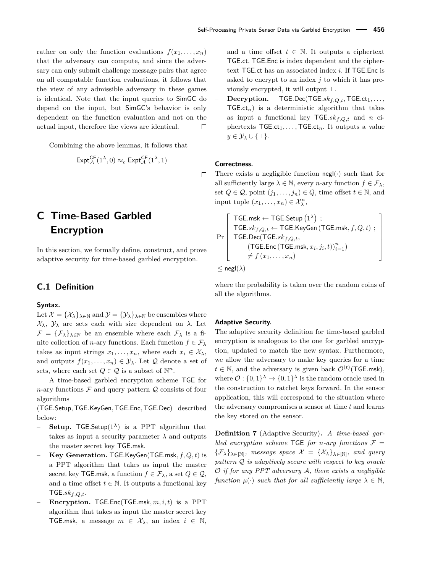rather on only the function evaluations  $f(x_1, \ldots, x_n)$ that the adversary can compute, and since the adversary can only submit challenge message pairs that agree on all computable function evaluations, it follows that the view of any admissible adversary in these games is identical. Note that the input queries to SimGC do depend on the input, but SimGC's behavior is only dependent on the function evaluation and not on the actual input, therefore the views are identical.  $\Box$ 

Combining the above lemmas, it follows that

$$
\mathsf{Expt}_{\mathcal{A}}^{\mathsf{GE}}(1^{\lambda},0) \approx_c \mathsf{Expt}_{\mathcal{A}}^{\mathsf{GE}}(1^{\lambda},1)
$$

# <span id="page-22-0"></span>**C Time-Based Garbled Encryption**

In this section, we formally define, construct, and prove adaptive security for time-based garbled encryption.

### **C.1 Definition**

#### **Syntax.**

Let  $\mathcal{X} = {\mathcal{X}_{\lambda}}_{\lambda \in \mathbb{N}}$  and  $\mathcal{Y} = {\mathcal{Y}_{\lambda}}_{\lambda \in \mathbb{N}}$  be ensembles where X*λ*, Y*<sup>λ</sup>* are sets each with size dependent on *λ*. Let  $\mathcal{F} = {\{\mathcal{F}_{\lambda}\}}_{\lambda \in \mathbb{N}}$  be an ensemble where each  $\mathcal{F}_{\lambda}$  is a finite collection of *n*-ary functions. Each function  $f \in \mathcal{F}_{\lambda}$ takes as input strings  $x_1, \ldots, x_n$ , where each  $x_i \in \mathcal{X}_{\lambda}$ , and outputs  $f(x_1, \ldots, x_n) \in \mathcal{Y}_\lambda$ . Let  $\mathcal Q$  denote a set of sets, where each set  $Q \in \mathcal{Q}$  is a subset of  $\mathbb{N}^n$ .

A time-based garbled encryption scheme TGE for *n*-ary functions  $\mathcal F$  and query pattern  $\mathcal Q$  consists of four algorithms

(TGE*.*Setup*,*TGE*.*KeyGen*,*TGE*.*Enc*,*TGE*.*Dec) described below:

- **Setup.** TGE.Setup $(1^{\lambda})$  is a PPT algorithm that takes as input a security parameter  $\lambda$  and outputs the master secret key TGE*.*msk.
- **Key Generation.** TGE*.*KeyGen(TGE*.*msk*, f, Q, t*) is a PPT algorithm that takes as input the master secret key TGE.msk, a function  $f \in \mathcal{F}_{\lambda}$ , a set  $Q \in \mathcal{Q}$ , and a time offset  $t \in \mathbb{N}$ . It outputs a functional key TGE*.skf,Q,t*.
- **Encryption.** TGE*.*Enc(TGE*.*msk*, m, i, t*) is a PPT algorithm that takes as input the master secret key TGE msk, a message  $m \in \mathcal{X}_{\lambda}$ , an index  $i \in \mathbb{N}$ ,

and a time offset  $t \in \mathbb{N}$ . It outputs a ciphertext TGE*.*ct. TGE*.*Enc is index dependent and the ciphertext TGE*.*ct has an associated index *i*. If TGE*.*Enc is asked to encrypt to an index *j* to which it has previously encrypted, it will output ⊥.

– **Decryption.** TGE*.*Dec(TGE*.skf,Q,t,*TGE*.*ct1*, . . . ,*  $TGE.ct_n$ ) is a deterministic algorithm that takes as input a functional key TGE*.skf,Q,t* and *n* ciphertexts  $TGE.ct_1, \ldots, TGE.ct_n$ . It outputs a value  $y \in \mathcal{Y}_{\lambda} \cup \{\perp\}.$ 

#### **Correctness.**

There exists a negligible function  $\text{neg}(\cdot)$  such that for all sufficiently large  $\lambda \in \mathbb{N}$ , every *n*-ary function  $f \in \mathcal{F}_{\lambda}$ , set  $Q \in \mathcal{Q}$ , point  $(j_1, \ldots, j_n) \in Q$ , time offset  $t \in \mathbb{N}$ , and input tuple  $(x_1, \ldots, x_n) \in \mathcal{X}_{\lambda}^n$ ,

$$
\Pr\left[\begin{array}{c}\mathsf{TGE}.\mathsf{msk} \leftarrow \mathsf{TGE}.\mathsf{Setup}\left(1^{\lambda}\right) \ ; \\ \mathsf{TGE}.sk_{f,Q,t} \leftarrow \mathsf{TGE}.\mathsf{KeyGen}\left(\mathsf{TGE}.\mathsf{msk}, f, Q, t\right) \ ; \\ \mathsf{TGE}.\mathsf{Dec}(\mathsf{TGE}.sk_{f,Q,t}, \\qquad \qquad (\mathsf{TGE}.\mathsf{Enc}\left(\mathsf{TGE}.\mathsf{msk}, x_i, j_i, t\right))_{i=1}^n) \\ \neq f\left(x_1,\ldots,x_n\right) \\ \leq \mathsf{negl}(\lambda) \end{array}\right]
$$

where the probability is taken over the random coins of all the algorithms.

#### **Adaptive Security.**

The adaptive security definition for time-based garbled encryption is analogous to the one for garbled encryption, updated to match the new syntax. Furthermore, we allow the adversary to make key queries for a time  $t \in \mathbb{N}$ , and the adversary is given back  $\mathcal{O}^{(t)}$  (TGE*.msk*), where  $\mathcal{O}: \{0,1\}^{\lambda} \to \{0,1\}^{\lambda}$  is the random oracle used in the construction to ratchet keys forward. In the sensor application, this will correspond to the situation where the adversary compromises a sensor at time *t* and learns the key stored on the sensor.

**Definition 7** (Adaptive Security)**.** *A time-based garbled encryption scheme* TGE *for n*-*ary functions*  $\mathcal{F} =$  $\{\mathcal{F}_{\lambda}\}_{\lambda \in [N]}$ , message space  $\mathcal{X} = \{\mathcal{X}_{\lambda}\}_{\lambda \in [N]}$ , and query *pattern* Q *is adaptively secure with respect to key oracle* O *if for any PPT adversary* A*, there exists a negligible function*  $\mu(\cdot)$  *such that for all sufficiently large*  $\lambda \in \mathbb{N}$ *,* 

 $\Box$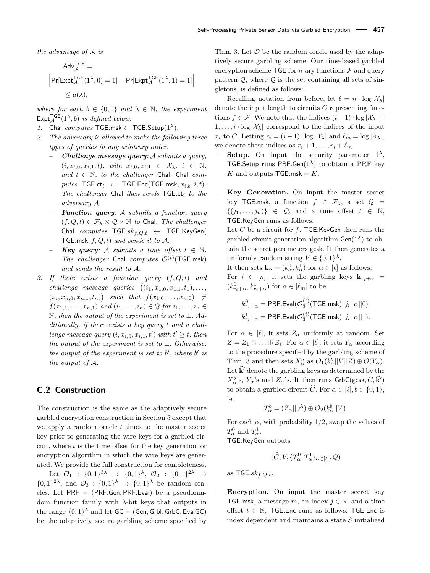*the advantage of* A *is*

$$
\begin{aligned} \mathsf{Adv}_{\mathcal{A}}^{\mathsf{TGE}} & = \\ \Big|\mathsf{Pr}[\mathsf{Expt}_{\mathcal{A}}^{\mathsf{TGE}}(1^{\lambda},0)=1] - \mathsf{Pr}[\mathsf{Expt}_{\mathcal{A}}^{\mathsf{TGE}}(1^{\lambda},1)=1] \Big| \\ & \leq \mu(\lambda), \end{aligned}
$$

*where for each*  $b \in \{0,1\}$  *and*  $\lambda \in \mathbb{N}$ *, the experiment*  $\mathsf{Expt}_{\mathcal{A}}^{\mathsf{TGE}}(1^{\lambda},b)$  *is defined below:* 

- *1.* Chal *computes*  $TGE.msk \leftarrow TGE.Setup(1^{\lambda})$ *.*
- *2. The adversary is allowed to make the following three types of queries in any arbitrary order.*
	- *Challenge message query:* A *submits a query,*  $(i, x_{i,0}, x_{i,1}, t)$ *, with*  $x_{i,0}, x_{i,1} \in \mathcal{X}_{\lambda}, i \in \mathbb{N}$ *,* and  $t$  ∈  $\mathbb N$ *, to the challenger* Chal. Chal *com* $putes$   $TGE.ct_i$  ←  $TGE.Enc(TGE.msk, x_{i,b}, i, t)$ *. The challenger* Chal *then sends* TGE*.*ct*<sup>i</sup> to the adversary* A*.*
	- *Function query:* A *submits a function query*  $(f, Q, t) \in \mathcal{F}_{\lambda} \times \mathcal{Q} \times \mathbb{N}$  *to* Chal*. The challenger* Chal *computes* TGE*.skf,Q,t* ← TGE*.*KeyGen( TGE*.*msk*, f, Q, t*) *and sends it to* A*.*
	- *Key query:* A *submits a time offset*  $t \in \mathbb{N}$ . *The challenger* Chal *computes*  $\mathcal{O}^{(t)}$  (TGE.msk) *and sends the result to* A*.*
- *3. If there exists a function query* (*f, Q, t*) *and challenge message queries*  $((i_1, x_{1,0}, x_{1,1}, t_1), \ldots,$  $(i_n, x_{n,0}, x_{n,1}, t_n)$  such that  $f(x_{1,0}, \ldots, x_{n,0}) \neq$  $f(x_{1,1}, \ldots, x_{n,1})$  *and*  $(i_1, \ldots, i_n) \in Q$  *for*  $i_1, \ldots, i_n \in Q$ N*, then the output of the experiment is set to* ⊥*. Additionally, if there exists a key query t and a challenge message query*  $(i, x_{i,0}, x_{i,1}, t')$  *with*  $t' \geq t$ *, then the output of the experiment is set to* ⊥*. Otherwise, the output of the experiment is set to*  $b'$ , where  $b'$  is *the output of* A*.*

### **C.2 Construction**

The construction is the same as the adaptively secure garbled encryption construction in Section [5](#page-8-1) except that we apply a random oracle *t* times to the master secret key prior to generating the wire keys for a garbled circuit, where *t* is the time offset for the key generation or encryption algorithm in which the wire keys are generated. We provide the full construction for completeness.

Let  $\mathcal{O}_1$  :  $\{0,1\}^{3\lambda} \rightarrow \{0,1\}^{\lambda}, \mathcal{O}_2$  :  $\{0,1\}^{2\lambda} \rightarrow$  $\{0,1\}^{\lambda}$ , and  $\mathcal{O}_3$ :  $\{0,1\}^{\lambda}$   $\rightarrow$   $\{0,1\}^{\lambda}$  be random oracles. Let PRF = (PRF*.*Gen*,* PRF*.*Eval) be a pseudorandom function family with *λ*-bit keys that outputs in the range  $\{0,1\}^{\lambda}$  and let  $\mathsf{GC} = (\mathsf{Gen}, \mathsf{Grbl}, \mathsf{GrbC}, \mathsf{EvalGC})$ be the adaptively secure garbling scheme specified by Thm. [3.](#page-5-1) Let  $\mathcal O$  be the random oracle used by the adaptively secure garbling scheme. Our time-based garbled encryption scheme TGE for *n*-ary functions  $\mathcal F$  and query pattern  $Q$ , where  $Q$  is the set containing all sets of singletons, is defined as follows:

Recalling notation from before, let  $\ell = n \cdot \log |\mathcal{X}_\lambda|$ denote the input length to circuits *C* representing functions  $f \in \mathcal{F}$ . We note that the indices  $(i-1) \cdot \log |\mathcal{X}_\lambda|$  +  $1, \ldots, i \cdot \log |\mathcal{X}_{\lambda}|$  correspond to the indices of the input *x*<sup>*i*</sup> to *C*. Letting  $r_i = (i-1) \cdot \log |\mathcal{X}_\lambda|$  and  $\ell_m = \log |\mathcal{X}_\lambda|$ , we denote these indices as  $r_i + 1, \ldots, r_i + \ell_m$ .

- $\sim$  **Setup.** On input the security parameter  $1^{\lambda}$ , TGE*.*Setup runs PRF*.*Gen(1*λ*) to obtain a PRF key *K* and outputs  $TGE.msk = K$ .
	- **Key Generation.** On input the master secret key TGE.msk, a function  $f \in \mathcal{F}_{\lambda}$ , a set  $Q =$  $\{(j_1, \ldots, j_n)\}\in \mathcal{Q}$ , and a time offset  $t \in \mathbb{N}$ , TGE*.*KeyGen runs as follows:

Let *C* be a circuit for *f*. TGE*.*KeyGen then runs the garbled circuit generation algorithm  $Gen(1^{\lambda})$  to obtain the secret parameters gcsk. It then generates a uniformly random string  $V \in \{0,1\}^{\lambda}$ .

It then sets  $\mathbf{k}_{\alpha} = (k_{\alpha}^0, k_{\alpha}^1)$  for  $\alpha \in [\ell]$  as follows: For  $i \in [n]$ , it sets the garbling keys  $\mathbf{k}_{r_i+\alpha}$  $(k_{r_i+\alpha}^0, k_{r_i+\alpha}^1)$  for  $\alpha \in [\ell_m]$  to be

$$
k_{r_i+\alpha}^0 = \text{PRF.Eval}(\mathcal{O}_3^{(t)}(\text{TGE.msk}), j_i||\alpha||0)
$$
  

$$
k_{r_i+\alpha}^1 = \text{PRF.Eval}(\mathcal{O}_3^{(t)}(\text{TGE.msk}), j_i||\alpha||1).
$$

For  $\alpha \in [\ell],$  it sets  $Z_{\alpha}$  uniformly at random. Set  $Z = Z_1 \oplus \ldots \oplus Z_\ell$ . For  $\alpha \in [\ell]$ , it sets  $Y_\alpha$  according to the procedure specified by the garbling scheme of Thm. [3](#page-5-1) and then sets  $X^b_\alpha$  as  $\mathcal{O}_1(k^b_\alpha||V||Z) \oplus \mathcal{O}(Y_\alpha)$ . Let  $\vec{k}'$  denote the garbling keys as determined by the  $X_{\alpha}^{b}$ 's,  $Y_{\alpha}$ 's and  $Z_{\alpha}$ 's. It then runs GrbC(gcsk,  $C, \vec{\mathbf{k}}'$ ) to obtain a garbled circuit  $\widehat{C}$ . For  $\alpha \in [\ell], b \in \{0, 1\},\$ let

$$
T_{\alpha}^{b} = (Z_{\alpha}||0^{\lambda}) \oplus O_{2}(k_{\alpha}^{b}||V).
$$

For each  $\alpha$ , with probability 1/2, swap the values of  $T^0_\alpha$  and  $T^1_\alpha$ .

TGE*.*KeyGen outputs

$$
(\widehat{C}, V, \{T^0_{\alpha}, T^1_{\alpha}\}_{{\alpha}\in[\ell]}, Q)
$$

as TGE*.skf,Q,t*.

**Encryption.** On input the master secret key TGE.msk, a message  $m$ , an index  $j \in \mathbb{N}$ , and a time offset  $t \in \mathbb{N}$ , TGE. Enc runs as follows: TGE. Enc is index dependent and maintains a state *S* initialized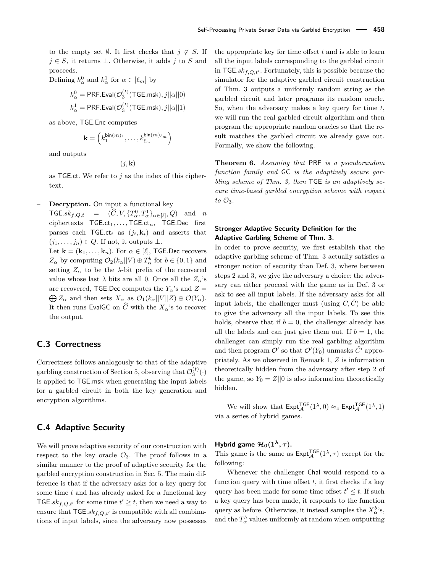to the empty set  $\emptyset$ . It first checks that  $j \notin S$ . If *j* ∈ *S*, it returns ⊥. Otherwise, it adds *j* to *S* and proceeds.

Defining  $k_{\alpha}^0$  and  $k_{\alpha}^1$  for  $\alpha \in [\ell_m]$  by

$$
k_{\alpha}^{0} = \text{PRF.Eval}(\mathcal{O}_{3}^{(t)}(\text{TGE.msk}), j||\alpha||0)
$$
  

$$
k_{\alpha}^{1} = \text{PRF.Eval}(\mathcal{O}_{3}^{(t)}(\text{TGE.msk}), j||\alpha||1)
$$

as above, TGE*.*Enc computes

$$
\mathbf{k} = \left(k_1^{\mathsf{bin}(m)_1}, \dots, k_{\ell_m}^{\mathsf{bin}(m)_{\ell_m}}\right)
$$

and outputs

$$
(j,\mathbf{k})
$$

as TGE*.*ct. We refer to *j* as the index of this ciphertext.

– **Decryption.** On input a functional key

 $\mathsf{TGE}.sk_{f,Q,t} = (\hat{C}, V, \{T^0_{\alpha}, T^1_{\alpha}\}_{{\alpha} \in [\ell]}, Q)$  and *n* ciphertexts TGE.ct<sub>1</sub>, ..., TGE.ct<sub>n</sub>, TGE.Dec first parses each  $\mathsf{TGE}.\mathsf{ct}_i$  as  $(j_i, \mathbf{k}_i)$  and asserts that  $(j_1, \ldots, j_n) \in Q$ . If not, it outputs ⊥.

Let  $\mathbf{k} = (\mathbf{k}_1, \dots, \mathbf{k}_n)$ . For  $\alpha \in [\ell]$ , TGE. Dec recovers  $Z_{\alpha}$  by computing  $\mathcal{O}_2(k_{\alpha}||V) \oplus T_{\alpha}^b$  for  $b \in \{0, 1\}$  and setting  $Z_{\alpha}$  to be the *λ*-bit prefix of the recovered value whose last  $\lambda$  bits are all 0. Once all the  $Z_{\alpha}$ 's are recovered, TGE.Dec computes the  $Y_\alpha$ 's and  $Z =$  $\bigoplus Z_\alpha$  and then sets  $X_\alpha$  as  $\mathcal{O}_1(k_\alpha||V||Z) \oplus \mathcal{O}(Y_\alpha)$ . It then runs EvalGC on  $\widehat{C}$  with the  $X_{\alpha}$ 's to recover the output.

### **C.3 Correctness**

Correctness follows analogously to that of the adaptive garbling construction of Section [5,](#page-8-1) observing that  $\mathcal{O}_3^{(t)}(\cdot)$ is applied to TGE*.*msk when generating the input labels for a garbled circuit in both the key generation and encryption algorithms.

### **C.4 Adaptive Security**

We will prove adaptive security of our construction with respect to the key oracle  $\mathcal{O}_3$ . The proof follows in a similar manner to the proof of adaptive security for the garbled encryption construction in Sec. [5.](#page-8-1) The main difference is that if the adversary asks for a key query for some time *t* and has already asked for a functional key TGE. $sk_{f,Q,t'}$  for some time  $t' \geq t$ , then we need a way to ensure that  $TGE$ *.sk* $_{f,Q,t'}$  is compatible with all combinations of input labels, since the adversary now possesses

the appropriate key for time offset *t* and is able to learn all the input labels corresponding to the garbled circuit in  $TGE<sub>skf</sub>,<sub>Qt'</sub>$ . Fortunately, this is possible because the simulator for the adaptive garbled circuit construction of Thm. [3](#page-5-1) outputs a uniformly random string as the garbled circuit and later programs its random oracle. So, when the adversary makes a key query for time *t*, we will run the real garbled circuit algorithm and then program the appropriate random oracles so that the result matches the garbled circuit we already gave out. Formally, we show the following.

**Theorem 6.** *Assuming that* PRF *is a pseudorandom function family and* GC *is the adaptively secure garbling scheme of Thm. [3,](#page-5-1) then* TGE *is an adaptively secure time-based garbled encryption scheme with respect to* O3*.*

### **Stronger Adaptive Security Definition for the Adaptive Garbling Scheme of Thm. [3.](#page-5-1)**

In order to prove security, we first establish that the adaptive garbling scheme of Thm. [3](#page-5-1) actually satisfies a stronger notion of security than Def. [3,](#page-5-5) where between steps 2 and 3, we give the adversary a choice: the adversary can either proceed with the game as in Def. [3](#page-5-5) or ask to see all input labels. If the adversary asks for all input labels, the challenger must (using  $C, \hat{C}$ ) be able to give the adversary all the input labels. To see this holds, observe that if  $b = 0$ , the challenger already has all the labels and can just give them out. If  $b = 1$ , the challenger can simply run the real garbling algorithm and then program  $\mathcal{O}'$  so that  $\mathcal{O}'(Y_0)$  unmasks  $\hat{C}'$  appropriately. As we observed in Remark [1,](#page-5-2) *Z* is information theoretically hidden from the adversary after step 2 of the game, so  $Y_0 = Z||0$  is also information theoretically hidden.

We will show that  $\text{Expt}_{\mathcal{A}}^{\text{TGE}}(1^{\lambda},0) \approx_c \text{Expt}_{\mathcal{A}}^{\text{TGE}}(1^{\lambda},1)$ via a series of hybrid games.

### **Hybrid game**  $\mathcal{H}_0(1^\lambda, \tau)$ **.**

This game is the same as  $\text{Expt}_{\mathcal{A}}^{\text{TGE}}(1^{\lambda}, \tau)$  except for the following:

Whenever the challenger Chal would respond to a function query with time offset *t*, it first checks if a key query has been made for some time offset  $t' \leq t$ . If such a key query has been made, it responds to the function query as before. Otherwise, it instead samples the  $X^b_\alpha$ 's, and the  $T^b_\alpha$  values uniformly at random when outputting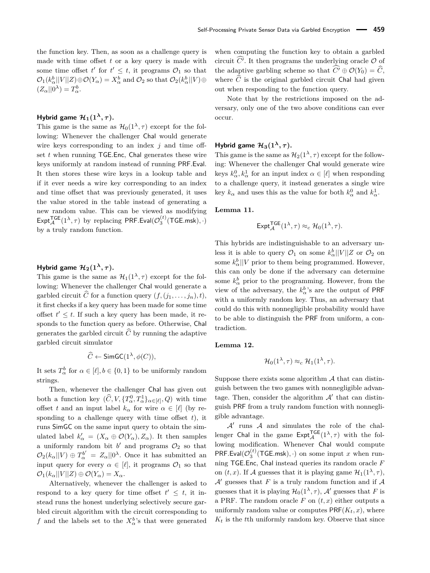the function key. Then, as soon as a challenge query is made with time offset *t* or a key query is made with some time offset  $t'$  for  $t' \leq t$ , it programs  $\mathcal{O}_1$  so that  $\mathcal{O}_1(k^b_\alpha||V||Z) \oplus \mathcal{O}(Y_\alpha) = X^b_\alpha$  and  $\mathcal{O}_2$  so that  $\mathcal{O}_2(k^b_\alpha||V) \oplus$  $(Z_{\alpha}||0^{\lambda})=T_{\alpha}^{b}.$ 

### **Hybrid game**  $\mathcal{H}_1(1^{\lambda}, \tau)$ **.**

This game is the same as  $\mathcal{H}_0(1^{\lambda}, \tau)$  except for the following: Whenever the challenger Chal would generate wire keys corresponding to an index *j* and time offset *t* when running TGE*.*Enc, Chal generates these wire keys uniformly at random instead of running PRF*.*Eval. It then stores these wire keys in a lookup table and if it ever needs a wire key corresponding to an index and time offset that was previously generated, it uses the value stored in the table instead of generating a new random value. This can be viewed as modifying  $\text{Ext}_{\mathcal{A}}^{\textsf{TGE}}(1^{\lambda}, \tau)$  by replacing PRF.Eval $(\mathcal{O}_{3}^{(t)}(\textsf{TGE}.\textsf{msk}), \cdot)$ by a truly random function.

### **Hybrid game**  $\mathcal{H}_2(1^{\lambda}, \tau)$ **.**

This game is the same as  $\mathcal{H}_1(1^{\lambda}, \tau)$  except for the following: Whenever the challenger Chal would generate a garbled circuit  $\widehat{C}$  for a function query  $(f, (j_1, \ldots, j_n), t)$ , it first checks if a key query has been made for some time offset  $t' \leq t$ . If such a key query has been made, it responds to the function query as before. Otherwise, Chal generates the garbled circuit  $\widehat{C}$  by running the adaptive garbled circuit simulator

$$
\widehat{C} \leftarrow \mathsf{SimGC}(1^{\lambda}, \phi(C)),
$$

It sets  $T^b_\alpha$  for  $\alpha \in [\ell], b \in \{0, 1\}$  to be uniformly random strings.

Then, whenever the challenger Chal has given out both a function key  $(\widehat{C}, V, \{T_\alpha^0, T_\alpha^1\}_{\alpha \in [\ell]}, Q)$  with time offset *t* and an input label  $k_{\alpha}$  for wire  $\alpha \in [\ell]$  (by responding to a challenge query with time offset *t*), it runs SimGC on the same input query to obtain the simulated label  $k'_\n\alpha = (X_\alpha \oplus \mathcal{O}(Y_\alpha), Z_\alpha)$ . It then samples a uniformly random bit  $b'$  and programs  $\mathcal{O}_2$  so that  $\mathcal{O}_2(k_\alpha||V) \oplus T_\alpha^{b'} = Z_\alpha||0^\lambda$ . Once it has submitted an input query for every  $\alpha \in [\ell]$ , it programs  $\mathcal{O}_1$  so that  $\mathcal{O}_1(k_\alpha||V||Z) \oplus \mathcal{O}(Y_\alpha) = X_\alpha.$ 

Alternatively, whenever the challenger is asked to respond to a key query for time offset  $t' \leq t$ , it instead runs the honest underlying selectively secure garbled circuit algorithm with the circuit corresponding to *f* and the labels set to the  $X_{\alpha}^{b}$ 's that were generated when computing the function key to obtain a garbled circuit *C'*. It then programs the underlying oracle  $\mathcal{O}$  of the adaptive garbling scheme so that  $\widehat{C'} \oplus \mathcal{O}(Y_0) = \widehat{C}$ . where  $\hat{C}$  is the original garbled circuit Chal had given out when responding to the function query.

Note that by the restrictions imposed on the adversary, only one of the two above conditions can ever occur.

### **Hybrid game**  $\mathcal{H}_3(1^\lambda, \tau)$ **.**

This game is the same as  $\mathcal{H}_2(1^{\lambda}, \tau)$  except for the following: Whenever the challenger Chal would generate wire keys  $k_{\alpha}^0, k_{\alpha}^1$  for an input index  $\alpha \in [\ell]$  when responding to a challenge query, it instead generates a single wire key  $k_{\alpha}$  and uses this as the value for both  $k_{\alpha}^0$  and  $k_{\alpha}^1$ .

#### **Lemma 11.**

$$
\mathsf{Expt}_{\mathcal{A}}^{\mathsf{TGE}}(1^{\lambda}, \tau) \approx_c \mathcal{H}_0(1^{\lambda}, \tau).
$$

This hybrids are indistinguishable to an adversary unless it is able to query  $\mathcal{O}_1$  on some  $k^b_\alpha||V||Z$  or  $\mathcal{O}_2$  on some  $k_{\alpha}^{b}$  ||*V* prior to them being programmed. However, this can only be done if the adversary can determine some  $k_{\alpha}^{b}$  prior to the programming. However, from the view of the adversary, the  $k_{\alpha}^{b}$ 's are the output of PRF with a uniformly random key. Thus, an adversary that could do this with nonnegligible probability would have to be able to distinguish the PRF from uniform, a contradiction.

#### **Lemma 12.**

$$
\mathcal{H}_0(1^{\lambda}, \tau) \approx_c \mathcal{H}_1(1^{\lambda}, \tau).
$$

Suppose there exists some algorithm  $A$  that can distinguish between the two games with nonnegligible advantage. Then, consider the algorithm  $A'$  that can distinguish PRF from a truly random function with nonnegligible advantage.

 $A'$  runs  $A$  and simulates the role of the challenger Chal in the game  $\text{Expt}_{\mathcal{A}}^{\text{TGE}}(1^{\lambda}, \tau)$  with the following modification. Whenever Chal would compute  $PRF.Eval(\mathcal{O}_3^{(t)}(\mathsf{TGE}.\mathsf{msk}),\cdot)$  on some input *x* when running TGE*.*Enc, Chal instead queries its random oracle *F* on  $(t, x)$ . If A guesses that it is playing game  $\mathcal{H}_1(1^{\lambda}, \tau)$ ,  $A'$  guesses that  $F$  is a truly random function and if  $A$ guesses that it is playing  $\mathcal{H}_0(1^\lambda, \tau)$ ,  $\mathcal{A}'$  guesses that *F* is a PRF. The random oracle  $F$  on  $(t, x)$  either outputs a uniformly random value or computes  $PRF(K_t, x)$ , where  $K_t$  is the *t*<sup>th</sup> uniformly random key. Observe that since